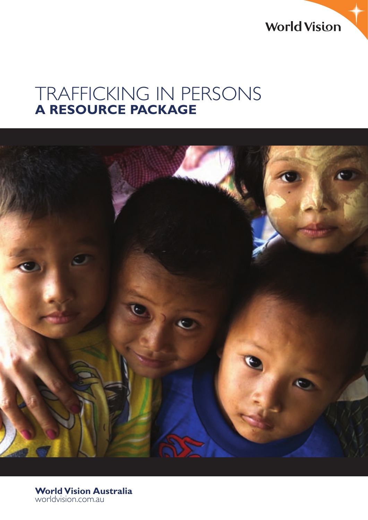**World Vision** 

# TRAFFICKING IN PERSONS **A RESOURCE PACKAGE**



**World Vision Australia** worldvision.com.au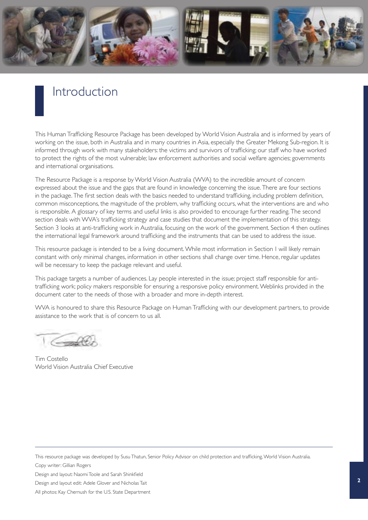

### Introduction

This Human Trafficking Resource Package has been developed by World Vision Australia and is informed by years of working on the issue, both in Australia and in many countries in Asia, especially the Greater Mekong Sub-region. It is informed through work with many stakeholders: the victims and survivors of trafficking; our staff who have worked to protect the rights of the most vulnerable; law enforcement authorities and social welfare agencies; governments and international organisations.

The Resource Package is a response by World Vision Australia (WVA) to the incredible amount of concern expressed about the issue and the gaps that are found in knowledge concerning the issue. There are four sections in the package. The first section deals with the basics needed to understand trafficking, including problem definition, common misconceptions, the magnitude of the problem, why trafficking occurs, what the interventions are and who is responsible. A glossary of key terms and useful links is also provided to encourage further reading. The second section deals with WVA's trafficking strategy and case studies that document the implementation of this strategy. Section 3 looks at anti-trafficking work in Australia, focusing on the work of the government. Section 4 then outlines the international legal framework around trafficking and the instruments that can be used to address the issue.

This resource package is intended to be a living document. While most information in Section 1 will likely remain constant with only minimal changes, information in other sections shall change over time. Hence, regular updates will be necessary to keep the package relevant and useful.

This package targets a number of audiences. Lay people interested in the issue; project staff responsible for antitrafficking work; policy makers responsible for ensuring a responsive policy environment. Weblinks provided in the document cater to the needs of those with a broader and more in-depth interest.

WVA is honoured to share this Resource Package on Human Trafficking with our development partners, to provide assistance to the work that is of concern to us all.

Conde

Tim Costello World Vision Australia Chief Executive

This resource package was developed by Susu Thatun, Senior Policy Advisor on child protection and trafficking, World Vision Australia. Copy writer: Gillian Rogers

Design and layout: Naomi Toole and Sarah Shinkfield

Design and layout edit: Adele Glover and Nicholas Tait

All photos: Kay Chernush for the U.S. State Department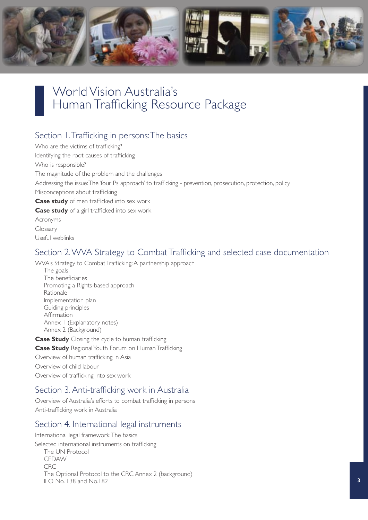

### World Vision Australia's Human Trafficking Resource Package

### Section 1. Trafficking in persons: The basics

Who are the victims of trafficking? Identifying the root causes of trafficking Who is responsible? The magnitude of the problem and the challenges Addressing the issue: The 'four Ps approach' to trafficking - prevention, prosecution, protection, policy Misconceptions about trafficking **Case study** of men trafficked into sex work **Case study** of a girl trafficked into sex work Acronyms Glossary Useful weblinks

### Section 2. WVA Strategy to Combat Trafficking and selected case documentation

WVA's Strategy to Combat Trafficking: A partnership approach

The goals The beneficiaries Promoting a Rights-based approach Rationale Implementation plan Guiding principles Affirmation Annex 1 (Explanatory notes) Annex 2 (Background)

**Case Study** Closing the cycle to human trafficking **Case Study** Regional Youth Forum on Human Trafficking Overview of human trafficking in Asia Overview of child labour

Overview of trafficking into sex work

### Section 3. Anti-trafficking work in Australia

Overview of Australia's efforts to combat trafficking in persons Anti-trafficking work in Australia

### Section 4. International legal instruments

International legal framework: The basics Selected international instruments on trafficking The UN Protocol CEDAW CRC The Optional Protocol to the CRC Annex 2 (background) ILO No. 138 and No.182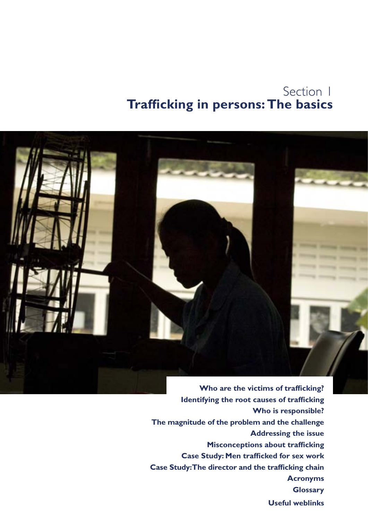### Section 1 **Trafficking in persons: The basics**



**Identifying the root causes of trafficking Who is responsible? The magnitude of the problem and the challenge Addressing the issue Misconceptions about trafficking Case Study: Men trafficked for sex work Case Study: The director and the trafficking chain Acronyms Glossary Useful weblinks**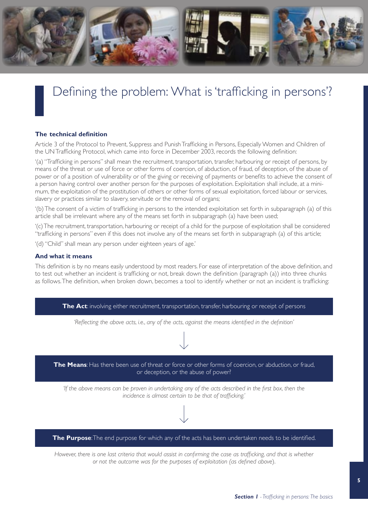

# Defining the problem: What is 'trafficking in persons'?

#### **The technical definition**

Article 3 of the Protocol to Prevent, Suppress and Punish Trafficking in Persons, Especially Women and Children of the UN Trafficking Protocol, which came into force in December 2003, records the following definition:

'(a) "Trafficking in persons" shall mean the recruitment, transportation, transfer, harbouring or receipt of persons, by means of the threat or use of force or other forms of coercion, of abduction, of fraud, of deception, of the abuse of power or of a position of vulnerability or of the giving or receiving of payments or benefits to achieve the consent of a person having control over another person for the purposes of exploitation. Exploitation shall include, at a minimum, the exploitation of the prostitution of others or other forms of sexual exploitation, forced labour or services, slavery or practices similar to slavery, servitude or the removal of organs;

'(b) The consent of a victim of trafficking in persons to the intended exploitation set forth in subparagraph (a) of this article shall be irrelevant where any of the means set forth in subparagraph (a) have been used;

'(c) The recruitment, transportation, harbouring or receipt of a child for the purpose of exploitation shall be considered "trafficking in persons" even if this does not involve any of the means set forth in subparagraph (a) of this article;

'(d) "Child" shall mean any person under eighteen years of age.'

#### **And what it means**

This definition is by no means easily understood by most readers. For ease of interpretation of the above definition, and to test out whether an incident is trafficking or not, break down the definition (paragraph (a)) into three chunks as follows. The definition, when broken down, becomes a tool to identify whether or not an incident is trafficking:



*However, there is one last criteria that would assist in confirming the case as trafficking, and that is whether or not the outcome was for the purposes of exploitation (as defined above*).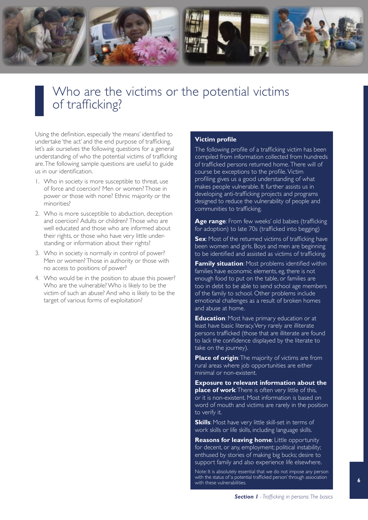

### Who are the victims or the potential victims of trafficking?

Using the definition, especially 'the means' identified to undertake 'the act' and the end purpose of trafficking, let's ask ourselves the following questions for a general understanding of who the potential victims of trafficking are. The following sample questions are useful to guide us in our identification.

- 1. Who in society is more susceptible to threat, use of force and coercion? Men or women? Those in power or those with none? Ethnic majority or the minorities?
- 2. Who is more susceptible to abduction, deception and coercion? Adults or children? Those who are well educated and those who are informed about their rights, or those who have very little understanding or information about their rights?
- 3. Who in society is normally in control of power? Men or women? Those in authority or those with no access to positions of power?
- 4. Who would be in the position to abuse this power? Who are the vulnerable? Who is likely to be the victim of such an abuse? And who is likely to be the target of various forms of exploitation?

#### **Victim profile**

The following profile of a trafficking victim has been compiled from information collected from hundreds of trafficked persons returned home. There will of course be exceptions to the profile. Victim profiling gives us a good understanding of what makes people vulnerable. It further assists us in developing anti-trafficking projects and programs designed to reduce the vulnerability of people and communities to trafficking.

**Age range**: From few weeks' old babies (trafficking for adoption) to late 70s (trafficked into begging)

**Sex:** Most of the returned victims of trafficking have been women and girls. Boys and men are beginning to be identified and assisted as victims of trafficking.

**Family situation:** Most problems identified within families have economic elements, eg, there is not enough food to put on the table, or families are too in debt to be able to send school age members of the family to school. Other problems include emotional challenges as a result of broken homes and abuse at home.

**Education**: Most have primary education or at least have basic literacy. Very rarely are illiterate persons trafficked (those that are illiterate are found to lack the confidence displayed by the literate to take on the journey).

**Place of origin:** The majority of victims are from rural areas where job opportunities are either minimal or non-existent.

**Exposure to relevant information about the place of work:** There is often very little of this. or it is non-existent. Most information is based on word of mouth and victims are rarely in the position to verify it.

**Skills**: Most have very little skill-set in terms of work skills or life skills, including language skills.

**Reasons for leaving home**: Little opportunity for decent, or any, employment; political instability; enthused by stories of making big bucks; desire to support family and also experience life elsewhere.

Note: It is absolutely essential that we do not impose any person with the status of 'a potential trafficked person' through association with these vulnerabilities.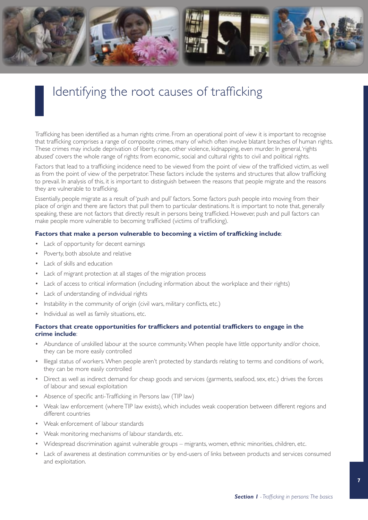

## Identifying the root causes of trafficking

Trafficking has been identified as a human rights crime. From an operational point of view it is important to recognise that trafficking comprises a range of composite crimes, many of which often involve blatant breaches of human rights. These crimes may include deprivation of liberty, rape, other violence, kidnapping, even murder. In general, 'rights abused' covers the whole range of rights: from economic, social and cultural rights to civil and political rights.

Factors that lead to a trafficking incidence need to be viewed from the point of view of the trafficked victim, as well as from the point of view of the perpetrator. These factors include the systems and structures that allow trafficking to prevail. In analysis of this, it is important to distinguish between the reasons that people migrate and the reasons they are vulnerable to trafficking.

Essentially, people migrate as a result of 'push and pull' factors. Some factors push people into moving from their place of origin and there are factors that pull them to particular destinations. It is important to note that, generally speaking, these are not factors that directly result in persons being trafficked. However, push and pull factors can make people more vulnerable to becoming trafficked (victims of trafficking).

#### **Factors that make a person vulnerable to becoming a victim of trafficking include**:

- • Lack of opportunity for decent earnings
- • Poverty, both absolute and relative
- Lack of skills and education
- Lack of migrant protection at all stages of the migration process
- Lack of access to critical information (including information about the workplace and their rights)
- • Lack of understanding of individual rights
- Instability in the community of origin (civil wars, military conflicts, etc.)
- Individual as well as family situations, etc.

#### **Factors that create opportunities for traffickers and potential traffickers to engage in the crime include**:

- Abundance of unskilled labour at the source community. When people have little opportunity and/or choice, they can be more easily controlled
- Illegal status of workers. When people aren't protected by standards relating to terms and conditions of work, they can be more easily controlled
- • Direct as well as indirect demand for cheap goods and services (garments, seafood, sex, etc.) drives the forces of labour and sexual exploitation
- Absence of specific anti-Trafficking in Persons law (TIP law)
- Weak law enforcement (where TIP law exists), which includes weak cooperation between different regions and different countries
- • Weak enforcement of labour standards
- Weak monitoring mechanisms of labour standards, etc.
- • Widespread discrimination against vulnerable groups migrants, women, ethnic minorities, children, etc.
- • Lack of awareness at destination communities or by end-users of links between products and services consumed and exploitation.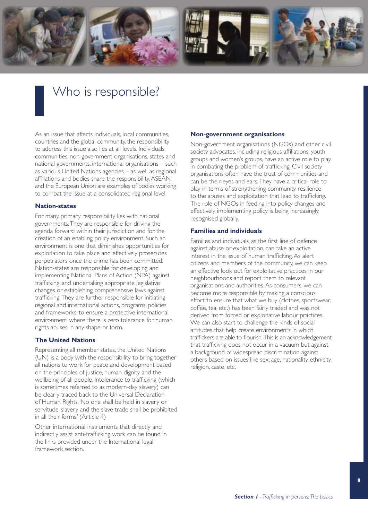

# Who is responsible?

As an issue that affects individuals, local communities, countries and the global community, the responsibility to address this issue also lies at all levels. Individuals, communities, non-government organisations, states and national governments, international organisations – such as various United Nations agencies – as well as regional affiliations and bodies share the responsibility. ASEAN and the European Union are examples of bodies working to combat the issue at a consolidated regional level.

#### **Nation-states**

For many, primary responsibility lies with national governments. They are responsible for driving the agenda forward within their jurisdiction and for the creation of an enabling policy environment. Such an environment is one that diminishes opportunities for exploitation to take place and effectively prosecutes perpetrators once the crime has been committed. Nation-states are responsible for developing and implementing National Plans of Action (NPA) against trafficking, and undertaking appropriate legislative changes or establishing comprehensive laws against trafficking. They are further responsible for initiating regional and international actions, programs, policies and frameworks, to ensure a protective international environment where there is zero tolerance for human rights abuses in any shape or form.

#### **The United Nations**

Representing all member states, the United Nations (UN) is a body with the responsibility to bring together all nations to work for peace and development based on the principles of justice, human dignity and the wellbeing of all people. Intolerance to trafficking (which is sometimes referred to as modern-day slavery) can be clearly traced back to the Universal Declaration of Human Rights. 'No one shall be held in slavery or servitude; slavery and the slave trade shall be prohibited in all their forms.' (Article 4)

Other international instruments that directly and indirectly assist anti-trafficking work can be found in the links provided under the International legal framework section.

#### **Non-government organisations**

Non-government organisations (NGOs) and other civil society advocates, including religious affiliations, youth groups and women's groups, have an active role to play in combating the problem of trafficking. Civil society organisations often have the trust of communities and can be their eyes and ears. They have a critical role to play in terms of strengthening community resilience to the abuses and exploitation that lead to trafficking. The role of NGOs in feeding into policy changes and effectively implementing policy is being increasingly recognised globally.

#### **Families and individuals**

Families and individuals, as the first line of defence against abuse or exploitation, can take an active interest in the issue of human trafficking. As alert citizens and members of the community, we can keep an effective look out for exploitative practices in our neighbourhoods and report them to relevant organisations and authorities. As consumers, we can become more responsible by making a conscious effort to ensure that what we buy (clothes, sportswear, coffee, tea, etc.) has been fairly traded and was not derived from forced or exploitative labour practices. We can also start to challenge the kinds of social attitudes that help create environments in which traffickers are able to flourish.This is an acknowledgement that trafficking does not occur in a vacuum but against a background of widespread discrimination against others based on issues like sex, age, nationality, ethnicity, religion, caste, etc.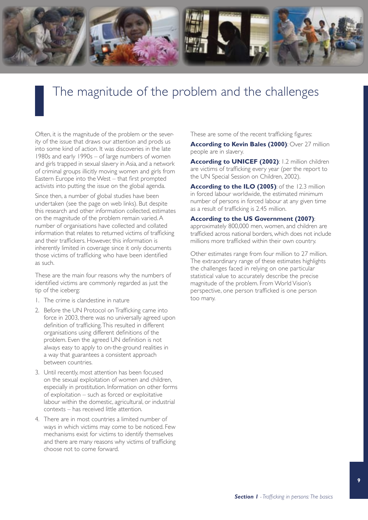

# The magnitude of the problem and the challenges

Often, it is the magnitude of the problem or the severity of the issue that draws our attention and prods us into some kind of action. It was discoveries in the late 1980s and early 1990s – of large numbers of women and girls trapped in sexual slavery in Asia, and a network of criminal groups illicitly moving women and girls from Eastern Europe into the West – that first prompted activists into putting the issue on the global agenda.

Since then, a number of global studies have been undertaken (see the page on web links). But despite this research and other information collected, estimates on the magnitude of the problem remain varied. A number of organisations have collected and collated information that relates to returned victims of trafficking and their traffickers. However, this information is inherently limited in coverage since it only documents those victims of trafficking who have been identified as such.

These are the main four reasons why the numbers of identified victims are commonly regarded as just the tip of the iceberg:

- 1. The crime is clandestine in nature
- 2. Before the UN Protocol on Trafficking came into force in 2003, there was no universally agreed upon definition of trafficking. This resulted in different organisations using different definitions of the problem. Even the agreed UN definition is not always easy to apply to on-the-ground realities in a way that guarantees a consistent approach between countries.
- 3. Until recently, most attention has been focused on the sexual exploitation of women and children, especially in prostitution. Information on other forms of exploitation – such as forced or exploitative labour within the domestic, agricultural, or industrial contexts – has received little attention.
- 4. There are in most countries a limited number of ways in which victims may come to be noticed. Few mechanisms exist for victims to identify themselves and there are many reasons why victims of trafficking choose not to come forward.

These are some of the recent trafficking figures:

**According to Kevin Bales (2000)**: Over 27 million people are in slavery.

**According to UNICEF (2002)**: 1.2 million children are victims of trafficking every year (per the report to the UN Special Session on Children, 2002).

**According to the ILO (2005):** of the 12.3 million in forced labour worldwide, the estimated minimum number of persons in forced labour at any given time as a result of trafficking is 2.45 million.

#### **According to the US Government (2007)**:

approximately 800,000 men, women, and children are trafficked across national borders, which does not include millions more trafficked within their own country.

Other estimates range from four million to 27 million. The extraordinary range of these estimates highlights the challenges faced in relying on one particular statistical value to accurately describe the precise magnitude of the problem. From World Vision's perspective, one person trafficked is one person too many.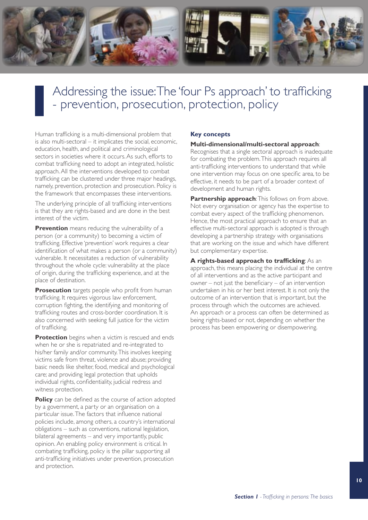

### Addressing the issue: The 'four Ps approach' to trafficking - prevention, prosecution, protection, policy

Human trafficking is a multi-dimensional problem that is also multi-sectoral – it implicates the social, economic, education, health, and political and criminological sectors in societies where it occurs. As such, efforts to combat trafficking need to adopt an integrated, holistic approach. All the interventions developed to combat trafficking can be clustered under three major headings, namely, prevention, protection and prosecution. Policy is the framework that encompasses these interventions.

The underlying principle of all trafficking interventions is that they are rights-based and are done in the best interest of the victim.

**Prevention** means reducing the vulnerability of a person (or a community) to becoming a victim of trafficking. Effective 'prevention' work requires a clear identification of what makes a person (or a community) vulnerable. It necessitates a reduction of vulnerability throughout the whole cycle: vulnerability at the place of origin, during the trafficking experience, and at the place of destination.

**Prosecution** targets people who profit from human trafficking. It requires vigorous law enforcement, corruption fighting, the identifying and monitoring of trafficking routes and cross-border coordination. It is also concerned with seeking full justice for the victim of trafficking.

**Protection** begins when a victim is rescued and ends when he or she is repatriated and re-integrated to his/her family and/or community.This involves keeping victims safe from threat, violence and abuse; providing basic needs like shelter, food, medical and psychological care; and providing legal protection that upholds individual rights, confidentiality, judicial redress and witness protection.

**Policy** can be defined as the course of action adopted by a government, a party or an organisation on a particular issue.The factors that influence national policies include, among others, a country's international obligations – such as conventions, national legislation, bilateral agreements – and very importantly, public opinion. An enabling policy environment is critical. In combating trafficking, policy is the pillar supporting all anti-trafficking initiatives under prevention, prosecution and protection.

#### **Key concepts**

#### **Multi-dimensional/multi-sectoral approach**:

Recognises that a single sectoral approach is inadequate for combating the problem. This approach requires all anti-trafficking interventions to understand that while one intervention may focus on one specific area, to be effective, it needs to be part of a broader context of development and human rights.

**Partnership approach: This follows on from above.** Not every organisation or agency has the expertise to combat every aspect of the trafficking phenomenon. Hence, the most practical approach to ensure that an effective multi-sectoral approach is adopted is through developing a partnership strategy with organisations that are working on the issue and which have different but complementary expertise.

**A rights-based approach to trafficking**: As an approach, this means placing the individual at the centre of all interventions and as the active participant and owner – not just the beneficiary – of an intervention undertaken in his or her best interest. It is not only the outcome of an intervention that is important, but the process through which the outcomes are achieved. An approach or a process can often be determined as being rights-based or not, depending on whether the process has been empowering or disempowering.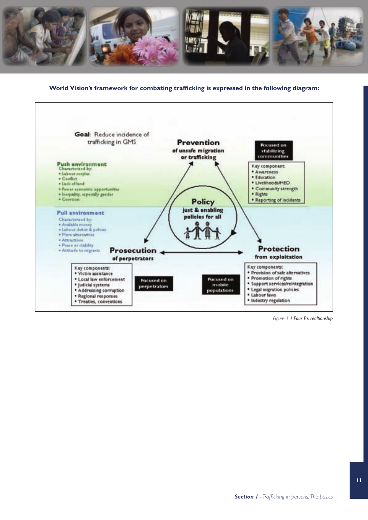

#### **World Vision's framework for combating trafficking is expressed in the following diagram:**



*Figure 1.4 Four P's realtionship*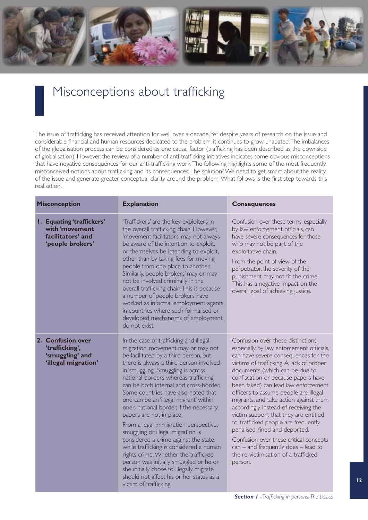

### Misconceptions about trafficking

The issue of trafficking has received attention for well over a decade. Yet despite years of research on the issue and considerable financial and human resources dedicated to the problem, it continues to grow unabated. The imbalances of the globalisation process can be considered as one causal factor (trafficking has been described as the downside of globalisation). However, the review of a number of anti-trafficking initiatives indicates some obvious misconceptions that have negative consequences for our anti-trafficking work. The following highlights some of the most frequently misconceived notions about trafficking and its consequences. The solution? We need to get smart about the reality of the issue and generate greater conceptual clarity around the problem. What follows is the first step towards this realisation.

| <b>Misconception</b>                                                                        | <b>Explanation</b>                                                                                                                                                                                                                                                                                                                                                                                                                                                                                                                                                                                                                                                                                                                                                                                                      | <b>Consequences</b>                                                                                                                                                                                                                                                                                                                                                                                                                                                                                                                                                                                                                                                      |
|---------------------------------------------------------------------------------------------|-------------------------------------------------------------------------------------------------------------------------------------------------------------------------------------------------------------------------------------------------------------------------------------------------------------------------------------------------------------------------------------------------------------------------------------------------------------------------------------------------------------------------------------------------------------------------------------------------------------------------------------------------------------------------------------------------------------------------------------------------------------------------------------------------------------------------|--------------------------------------------------------------------------------------------------------------------------------------------------------------------------------------------------------------------------------------------------------------------------------------------------------------------------------------------------------------------------------------------------------------------------------------------------------------------------------------------------------------------------------------------------------------------------------------------------------------------------------------------------------------------------|
| <b>I. Equating 'traffickers'</b><br>with 'movement<br>facilitators' and<br>'people brokers' | 'Traffickers' are the key exploiters in<br>the overall trafficking chain. However,<br>'movement facilitators' may not always<br>be aware of the intention to exploit,<br>or themselves be intending to exploit,<br>other than by taking fees for moving<br>people from one place to another.<br>Similarly, 'people brokers' may or may<br>not be involved criminally in the<br>overall trafficking chain. This is because<br>a number of people brokers have<br>worked as informal employment agents<br>in countries where such formalised or<br>developed mechanisms of employment<br>do not exist.                                                                                                                                                                                                                    | Confusion over these terms, especially<br>by law enforcement officials, can<br>have severe consequences for those<br>who may not be part of the<br>exploitative chain.<br>From the point of view of the<br>perpetrator, the severity of the<br>punishment may not fit the crime.<br>This has a negative impact on the<br>overall goal of achieving justice.                                                                                                                                                                                                                                                                                                              |
| 2. Confusion over<br>'trafficking',<br>'smuggling' and<br>'illegal migration'               | In the case of trafficking and illegal<br>migration, movement may or may not<br>be facilitated by a third person, but<br>there is always a third person involved<br>in 'smuggling'. Smuggling is across<br>national borders whereas trafficking<br>can be both internal and cross-border.<br>Some countries have also noted that<br>one can be an 'illegal migrant' within<br>one's national border, if the necessary<br>papers are not in place.<br>From a legal immigration perspective,<br>smuggling or illegal migration is<br>considered a crime against the state,<br>while trafficking is considered a human<br>rights crime. Whether the trafficked<br>person was initially smuggled or he or<br>she initially chose to illegally migrate<br>should not affect his or her status as a<br>victim of trafficking. | Confusion over these distinctions,<br>especially by law enforcement officials,<br>can have severe consequences for the<br>victims of trafficking. A lack of proper<br>documents (which can be due to<br>confiscation or because papers have<br>been faked) can lead law enforcement<br>officers to assume people are illegal<br>migrants, and take action against them<br>accordingly. Instead of receiving the<br>victim support that they are entitled<br>to, trafficked people are frequently<br>penalised, fined and deported.<br>Confusion over these critical concepts<br>$can$ – and frequently does – lead to<br>the re-victimisation of a trafficked<br>person. |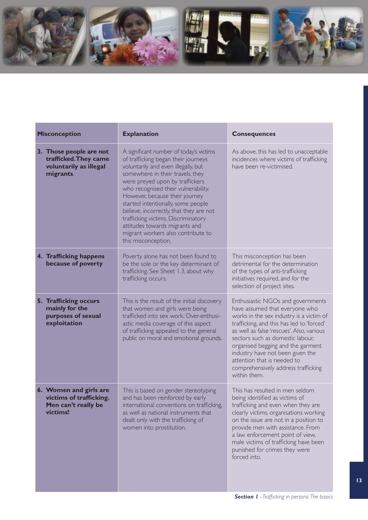

| <b>Misconception</b>                                                                    | <b>Explanation</b>                                                                                                                                                                                                                                                                                                                                                                                                                                                                           | <b>Consequences</b>                                                                                                                                                                                                                                                                                                                                                                                          |
|-----------------------------------------------------------------------------------------|----------------------------------------------------------------------------------------------------------------------------------------------------------------------------------------------------------------------------------------------------------------------------------------------------------------------------------------------------------------------------------------------------------------------------------------------------------------------------------------------|--------------------------------------------------------------------------------------------------------------------------------------------------------------------------------------------------------------------------------------------------------------------------------------------------------------------------------------------------------------------------------------------------------------|
| 3. Those people are not<br>trafficked. They came<br>voluntarily as illegal<br>migrants. | A significant number of today's victims<br>of trafficking began their journeys<br>voluntarily and even illegally, but<br>somewhere in their travels, they<br>were preyed upon by traffickers<br>who recognised their vulnerability.<br>However, because their journey<br>started intentionally, some people<br>believe, incorrectly, that they are not<br>trafficking victims. Discriminatory<br>attitudes towards migrants and<br>migrant workers also contribute to<br>this misconception. | As above, this has led to unacceptable<br>incidences where victims of trafficking<br>have been re-victimised.                                                                                                                                                                                                                                                                                                |
| 4. Trafficking happens<br>because of poverty                                            | Poverty alone has not been found to<br>be the sole or the key determinant of<br>trafficking. See Sheet 1.3, about why<br>trafficking occurs.                                                                                                                                                                                                                                                                                                                                                 | This misconception has been<br>detrimental for the determination<br>of the types of anti-trafficking<br>initiatives required, and for the<br>selection of project sites.                                                                                                                                                                                                                                     |
| 5. Trafficking occurs<br>mainly for the<br>purposes of sexual<br>exploitation           | This is the result of the initial discovery<br>that women and girls were being<br>trafficked into sex work. Over-enthusi-<br>astic media coverage of this aspect<br>of trafficking appealed to the general<br>public on moral and emotional grounds.                                                                                                                                                                                                                                         | Enthusiastic NGOs and governments<br>have assumed that everyone who<br>works in the sex industry is a victim of<br>trafficking, and this has led to 'forced'<br>as well as false 'rescues'. Also, various<br>sectors such as domestic labour,<br>organised begging and the garment<br>industry have not been given the<br>attention that is needed to<br>comprehensively address trafficking<br>within them. |
| 6. Women and girls are<br>victims of trafficking.<br>Men can't really be<br>victims!    | This is based on gender stereotyping<br>and has been reinforced by early<br>international conventions on trafficking,<br>as well as national instruments that<br>dealt only with the trafficking of<br>women into prostitution.                                                                                                                                                                                                                                                              | This has resulted in men seldom<br>being identified as victims of<br>trafficking and even when they are<br>clearly victims, organisations working<br>on the issue are not in a position to<br>provide men with assistance. From<br>a law enforcement point of view,<br>male victims of trafficking have been<br>punished for crimes they were<br>forced into.                                                |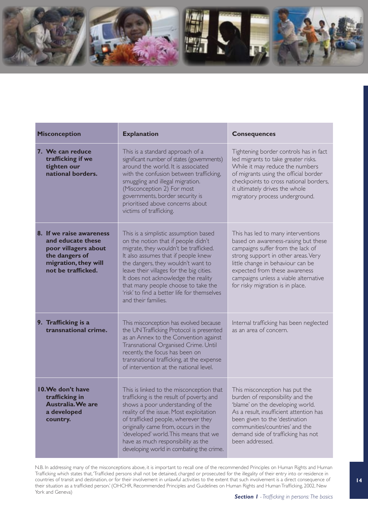

| <b>Misconception</b>                                                                                                                  | <b>Explanation</b>                                                                                                                                                                                                                                                                                                                                                                                                                                                                                                                                                                                                                                                                                              | <b>Consequences</b>                                                                                                                                                                                                                                                            |  |
|---------------------------------------------------------------------------------------------------------------------------------------|-----------------------------------------------------------------------------------------------------------------------------------------------------------------------------------------------------------------------------------------------------------------------------------------------------------------------------------------------------------------------------------------------------------------------------------------------------------------------------------------------------------------------------------------------------------------------------------------------------------------------------------------------------------------------------------------------------------------|--------------------------------------------------------------------------------------------------------------------------------------------------------------------------------------------------------------------------------------------------------------------------------|--|
| 7. We can reduce<br>trafficking if we<br>tighten our<br>national borders.                                                             | This is a standard approach of a<br>significant number of states (governments)<br>around the world. It is associated<br>with the confusion between trafficking,<br>smuggling and illegal migration.<br>(Misconception 2) For most<br>governments, border security is<br>prioritised above concerns about<br>victims of trafficking.                                                                                                                                                                                                                                                                                                                                                                             | Tightening border controls has in fact<br>led migrants to take greater risks.<br>While it may reduce the numbers<br>of migrants using the official border<br>checkpoints to cross national borders,<br>it ultimately drives the whole<br>migratory process underground.        |  |
| 8. If we raise awareness<br>and educate these<br>poor villagers about<br>the dangers of<br>migration, they will<br>not be trafficked. | This is a simplistic assumption based<br>This has led to many interventions<br>on the notion that if people didn't<br>based on awareness-raising but these<br>migrate, they wouldn't be trafficked.<br>campaigns suffer from the lack of<br>It also assumes that if people knew<br>strong support in other areas. Very<br>the dangers, they wouldn't want to<br>little change in behaviour can be<br>leave their villages for the big cities.<br>expected from these awareness<br>It does not acknowledge the reality<br>campaigns unless a viable alternative<br>that many people choose to take the<br>for risky migration is in place.<br>'risk' to find a better life for themselves<br>and their families. |                                                                                                                                                                                                                                                                                |  |
| 9. Trafficking is a<br>transnational crime.                                                                                           | This misconception has evolved because<br>the UN Trafficking Protocol is presented<br>as an Annex to the Convention against<br>Transnational Organised Crime. Until<br>recently, the focus has been on<br>transnational trafficking, at the expense<br>of intervention at the national level.                                                                                                                                                                                                                                                                                                                                                                                                                   | Internal trafficking has been neglected<br>as an area of concern.                                                                                                                                                                                                              |  |
| 10. We don't have<br>trafficking in<br><b>Australia. We are</b><br>a developed<br>country.                                            | This is linked to the misconception that<br>trafficking is the result of poverty, and<br>shows a poor understanding of the<br>reality of the issue. Most exploitation<br>of trafficked people, wherever they<br>originally came from, occurs in the<br>'developed' world. This means that we<br>have as much responsibility as the<br>developing world in combating the crime.                                                                                                                                                                                                                                                                                                                                  | This misconception has put the<br>burden of responsibility and the<br>'blame' on the developing world.<br>As a result, insufficient attention has<br>been given to the 'destination<br>communities/countries' and the<br>demand side of trafficking has not<br>been addressed. |  |

N.B. In addressing many of the misconceptions above, it is important to recall one of the recommended Principles on Human Rights and Human Trafficking which states that, 'Trafficked persons shall not be detained, charged or prosecuted for the illegality of their entry into or residence in countries of transit and destination, or for their involvement in unlawful activities to the extent that such involvement is a direct consequence of their situation as a trafficked person.' (OHCHR, Recommended Principles and Guidelines on Human Rights and Human Trafficking, 2002, New York and Geneva)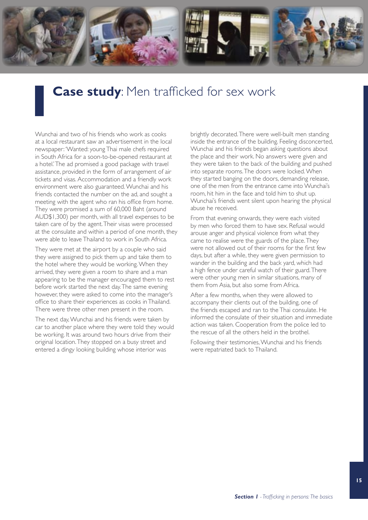

## **Case study**: Men trafficked for sex work

Wunchai and two of his friends who work as cooks at a local restaurant saw an advertisement in the local newspaper: 'Wanted: young Thai male chefs required in South Africa for a soon-to-be-opened restaurant at a hotel.' The ad promised a good package with travel assistance, provided in the form of arrangement of air tickets and visas. Accommodation and a friendly work environment were also guaranteed. Wunchai and his friends contacted the number on the ad, and sought a meeting with the agent who ran his office from home. They were promised a sum of 60,000 Baht (around AUD\$1,300) per month, with all travel expenses to be taken care of by the agent. Their visas were processed at the consulate and within a period of one month, they were able to leave Thailand to work in South Africa.

They were met at the airport by a couple who said they were assigned to pick them up and take them to the hotel where they would be working. When they arrived, they were given a room to share and a man appearing to be the manager encouraged them to rest before work started the next day. The same evening however, they were asked to come into the manager's office to share their experiences as cooks in Thailand. There were three other men present in the room.

The next day, Wunchai and his friends were taken by car to another place where they were told they would be working. It was around two hours drive from their original location. They stopped on a busy street and entered a dingy looking building whose interior was

brightly decorated. There were well-built men standing inside the entrance of the building. Feeling disconcerted, Wunchai and his friends began asking questions about the place and their work. No answers were given and they were taken to the back of the building and pushed into separate rooms. The doors were locked. When they started banging on the doors, demanding release, one of the men from the entrance came into Wunchai's room, hit him in the face and told him to shut up. Wunchai's friends went silent upon hearing the physical abuse he received.

From that evening onwards, they were each visited by men who forced them to have sex. Refusal would arouse anger and physical violence from what they came to realise were the guards of the place. They were not allowed out of their rooms for the first few days, but after a while, they were given permission to wander in the building and the back yard, which had a high fence under careful watch of their guard. There were other young men in similar situations, many of them from Asia, but also some from Africa.

After a few months, when they were allowed to accompany their clients out of the building, one of the friends escaped and ran to the Thai consulate. He informed the consulate of their situation and immediate action was taken. Cooperation from the police led to the rescue of all the others held in the brothel.

Following their testimonies, Wunchai and his friends were repatriated back to Thailand.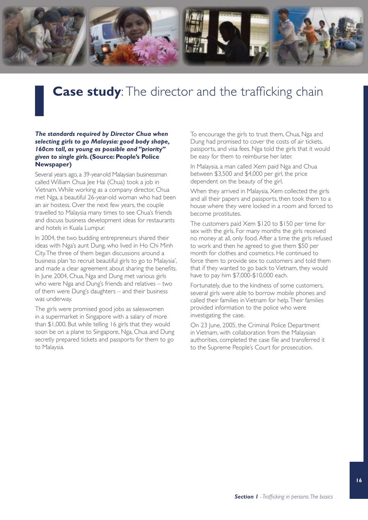

# **Case study:** The director and the trafficking chain

#### *The standards required by Director Chua when selecting girls to go Malaysia: good body shape, 160cm tall, as young as possible and "priority" given to single girls***. (Source: People's Police Newspaper)**

Several years ago, a 39-year-old Malaysian businessman called William Chua Jee Hai (Chua) took a job in Vietnam. While working as a company director, Chua met Nga, a beautiful 26-year-old woman who had been an air hostess. Over the next few years, the couple travelled to Malaysia many times to see Chua's friends and discuss business development ideas for restaurants and hotels in Kuala Lumpur.

In 2004, the two budding entrepreneurs shared their ideas with Nga's aunt Dung, who lived in Ho Chi Minh City. The three of them began discussions around a business plan 'to recruit beautiful girls to go to Malaysia', and made a clear agreement about sharing the benefits. In June 2004, Chua, Nga and Dung met various girls who were Nga and Dung's friends and relatives – two of them were Dung's daughters – and their business was underway.

The girls were promised good jobs as saleswomen in a supermarket in Singapore with a salary of more than \$1,000. But while telling 16 girls that they would soon be on a plane to Singapore, Nga, Chua and Dung secretly prepared tickets and passports for them to go to Malaysia.

To encourage the girls to trust them, Chua, Nga and Dung had promised to cover the costs of air tickets, passports, and visa fees. Nga told the girls that it would be easy for them to reimburse her later.

In Malaysia, a man called Xem paid Nga and Chua between \$3,500 and \$4,000 per girl, the price dependent on the beauty of the girl.

When they arrived in Malaysia, Xem collected the girls and all their papers and passports, then took them to a house where they were locked in a room and forced to become prostitutes.

The customers paid Xem \$120 to \$150 per time for sex with the girls. For many months the girls received no money at all, only food. After a time the girls refused to work and then he agreed to give them \$50 per month for clothes and cosmetics. He continued to force them to provide sex to customers and told them that if they wanted to go back to Vietnam, they would have to pay him \$7,000-\$10,000 each.

Fortunately, due to the kindness of some customers, several girls were able to borrow mobile phones and called their families in Vietnam for help. Their families provided information to the police who were investigating the case.

On 23 June, 2005, the Criminal Police Department in Vietnam, with collaboration from the Malaysian authorities, completed the case file and transferred it to the Supreme People's Court for prosecution.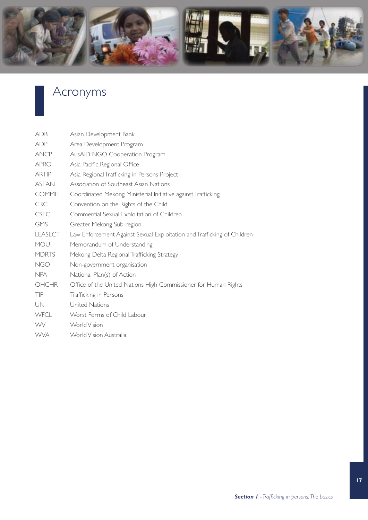

# Acronyms

| <b>ADB</b>     | Asian Development Bank                                                  |
|----------------|-------------------------------------------------------------------------|
| <b>ADP</b>     | Area Development Program                                                |
| <b>ANCP</b>    | AusAID NGO Cooperation Program                                          |
| <b>APRO</b>    | Asia Pacific Regional Office                                            |
| <b>ARTIP</b>   | Asia Regional Trafficking in Persons Project                            |
| <b>ASEAN</b>   | Association of Southeast Asian Nations                                  |
| <b>COMMIT</b>  | Coordinated Mekong Ministerial Initiative against Trafficking           |
| <b>CRC</b>     | Convention on the Rights of the Child                                   |
| <b>CSEC</b>    | Commercial Sexual Exploitation of Children                              |
| <b>GMS</b>     | Greater Mekong Sub-region                                               |
| <b>LEASECT</b> | Law Enforcement Against Sexual Exploitation and Trafficking of Children |
| MOU            | Memorandum of Understanding                                             |
| <b>MDRTS</b>   | Mekong Delta Regional Trafficking Strategy                              |
| <b>NGO</b>     | Non-government organisation                                             |
| <b>NPA</b>     | National Plan(s) of Action                                              |
| <b>OHCHR</b>   | Office of the United Nations High Commissioner for Human Rights         |
| TIP            | Trafficking in Persons                                                  |
| UN             | United Nations                                                          |
| <b>WFCL</b>    | Worst Forms of Child Labour                                             |
| <b>WV</b>      | <b>World Vision</b>                                                     |
| <b>WVA</b>     | World Vision Australia                                                  |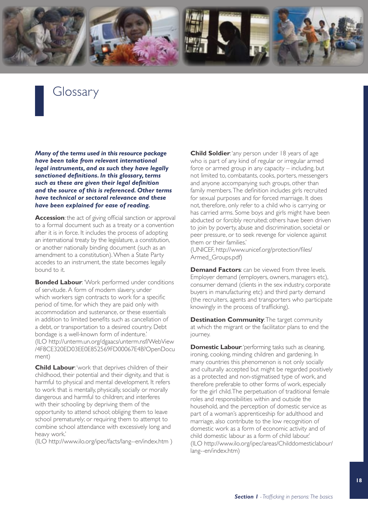

### Glossary

*Many of the terms used in this resource package have been take from relevant international legal instruments, and as such they have legally sanctioned definitions. In this glossary, terms such as these are given their legal definition and the source of this is referenced. Other terms have technical or sectoral relevance and these have been explained for ease of reading.*

**Accession:** the act of giving official sanction or approval to a formal document such as a treaty or a convention after it is in force. It includes the process of adopting an international treaty by the legislature, a constitution, or another nationally binding document (such as an amendment to a constitution). When a State Party accedes to an instrument, the state becomes legally bound to it.

**Bonded Labour:** 'Work performed under conditions of servitude. A form of modern slavery, under which workers sign contracts to work for a specific period of time, for which they are paid only with accommodation and sustenance, or these essentials in addition to limited benefits such as cancellation of a debt, or transportation to a desired country. Debt bondage is a well-known form of indenture.' (ILO http://unterm.un.org/dgaacs/unterm.nsf/WebView [/4F8CE320ED03EE0E852569FD00067E4B?OpenDocu](http://unterm.un.org/dgaacs/unterm.nsf/WebView/4F8CE320ED03EE0E852569FD00067E4B?OpenDocument) ment)

**Child Labour:** 'work that deprives children of their childhood, their potential and their dignity, and that is harmful to physical and mental development. It refers to work that is mentally, physically, socially or morally dangerous and harmful to children; and interferes with their schooling by depriving them of the opportunity to attend school; obliging them to leave school prematurely; or requiring them to attempt to combine school attendance with excessively long and heavy work.'

(ILO <http://www.ilo.org/ipec/facts/lang--en/index.htm> )

**Child Soldier:** 'any person under 18 years of age who is part of any kind of regular or irregular armed force or armed group in any capacity – including, but not limited to, combatants, cooks, porters, messengers and anyone accompanying such groups, other than family members. The definition includes girls recruited for sexual purposes and for forced marriage. It does not, therefore, only refer to a child who is carrying or has carried arms. Some boys and girls might have been abducted or forcibly recruited; others have been driven to join by poverty, abuse and discrimination, societal or peer pressure, or to seek revenge for violence against them or their families.'

(UNICEF, [http://www.unicef.org/protection/files/](http://www.unicef.org/protection/files/Armed_Groups.pdf) [Armed\\_Groups.pdf\)](http://www.unicef.org/protection/files/Armed_Groups.pdf)

**Demand Factors**: can be viewed from three levels. Employer demand (employers, owners, managers etc), consumer demand (clients in the sex industry, corporate buyers in manufacturing etc) and third party demand (the recruiters, agents and transporters who participate knowingly in the process of trafficking).

**Destination Community: The target community** at which the migrant or the facilitator plans to end the journey.

**Domestic Labour:** 'performing tasks such as cleaning, ironing, cooking, minding children and gardening. In many countries this phenomenon is not only socially and culturally accepted but might be regarded positively as a protected and non-stigmatised type of work, and therefore preferable to other forms of work, especially for the girl child. The perpetuation of traditional female roles and responsibilities within and outside the household, and the perception of domestic service as part of a woman's apprenticeship for adulthood and marriage, also contribute to the low recognition of domestic work as a form of economic activity and of child domestic labour as a form of child labour.' (ILO [http://www.ilo.org/ipec/areas/Childdomesticlabour/](http://www.ilo.org/ipec/areas/Childdomesticlabour/lang--en/index.htm) [lang--en/index.htm\)](http://www.ilo.org/ipec/areas/Childdomesticlabour/lang--en/index.htm)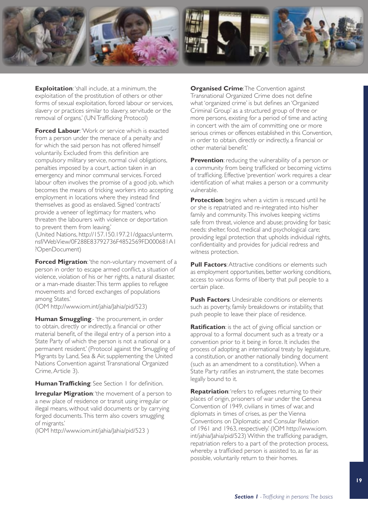

**Exploitation:** 'shall include, at a minimum, the exploitation of the prostitution of others or other forms of sexual exploitation, forced labour or services, slavery or practices similar to slavery, servitude or the removal of organs.' (UN Trafficking Protocol)

**Forced Labour**: 'Work or service which is exacted from a person under the menace of a penalty and for which the said person has not offered himself voluntarily. Excluded from this definition are compulsory military service, normal civil obligations, penalties imposed by a court, action taken in an emergency and minor communal services. Forced labour often involves the promise of a good job, which becomes the means of tricking workers into accepting employment in locations where they instead find themselves as good as enslaved. Signed 'contracts' provide a veneer of legitimacy for masters, who threaten the labourers with violence or deportation to prevent them from leaving.'

(United Nations, [http://157.150.197.21/dgaacs/unterm.](http://157.150.197.21/dgaacs/unterm.nsf/WebView/0F288E83792736F4852569FD000681A1?OpenDocument) [nsf/WebView/0F288E83792736F4852569FD000681A1](http://157.150.197.21/dgaacs/unterm.nsf/WebView/0F288E83792736F4852569FD000681A1?OpenDocument) ?[OpenDocument\)](http://157.150.197.21/dgaacs/unterm.nsf/WebView/0F288E83792736F4852569FD000681A1?OpenDocument) 

**Forced Migration:** 'the non-voluntary movement of a person in order to escape armed conflict, a situation of violence, violation of his or her rights, a natural disaster, or a man-made disaster. This term applies to refugee movements and forced exchanges of populations among States.'

(IOM [http://www.iom.int/jahia/Jahia/pid/523\)](http://www.iom.int/jahia/Jahia/pid/523)

**Human Smuggling:-** 'the procurement, in order to obtain, directly or indirectly, a financial or other material benefit, of the illegal entry of a person into a State Party of which the person is not a national or a permanent resident.' (Protocol against the Smuggling of Migrants by Land, Sea & Air, supplementing the United Nations Convention against Transnational Organized Crime, Article 3).

**Human Trafficking**: See Section 1 for definition.

**Irregular Migration**: 'the movement of a person to a new place of residence or transit using irregular or illegal means, without valid documents or by carrying forged documents. This term also covers smuggling of migrants.'

(IOM <http://www.iom.int/jahia/Jahia/pid/523> )

**Organised Crime: The Convention against** Transnational Organized Crime does not define what 'organized crime' is but defines an 'Organized Criminal Group' as a structured group of three or more persons, existing for a period of time and acting in concert with the aim of committing one or more serious crimes or offences established in this Convention, in order to obtain, directly or indirectly, a financial or other material benefit.'

**Prevention**: reducing the vulnerability of a person or a community from being trafficked or becoming victims of trafficking. Effective 'prevention' work requires a clear identification of what makes a person or a community vulnerable.

**Protection**: begins when a victim is rescued until he or she is repatriated and re-integrated into his/her family and community. This involves keeping victims safe from threat, violence and abuse; providing for basic needs: shelter, food, medical and psychological care; providing legal protection that upholds individual rights, confidentiality and provides for judicial redress and witness protection.

**Pull Factors:** Attractive conditions or elements such as employment opportunities, better working conditions, access to various forms of liberty that pull people to a certain place.

**Push Factors:** Undesirable conditions or elements such as poverty, family breakdowns or instability, that push people to leave their place of residence.

**Ratification**: is the act of giving official sanction or approval to a formal document such as a treaty or a convention prior to it being in force. It includes the process of adopting an international treaty by legislature, a constitution, or another nationally binding document (such as an amendment to a constitution). When a State Party ratifies an instrument, the state becomes legally bound to it.

**Repatriation:** 'refers to refugees returning to their places of origin, prisoners of war under the Geneva Convention of 1949, civilians in times of war, and diplomats in times of crises, as per the Vienna Conventions on Diplomatic and Consular Relation of 1961 and 1963, respectively.' (IOM [http://www.iom.](http://www.iom.int/jahia/Jahia/pid/523) [int/jahia/Jahia/pid/523\)](http://www.iom.int/jahia/Jahia/pid/523) Within the trafficking paradigm, repatriation refers to a part of the protection process, whereby a trafficked person is assisted to, as far as possible, voluntarily return to their homes.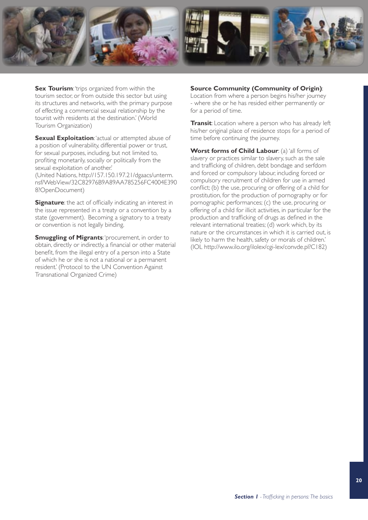

**Sex Tourism:** 'trips organized from within the tourism sector, or from outside this sector but using its structures and networks, with the primary purpose of effecting a commercial sexual relationship by the tourist with residents at the destination.' (World Tourism Organization)

**Sexual Exploitation:** 'actual or attempted abuse of a position of vulnerability, differential power or trust, for sexual purposes, including, but not limited to, profiting monetarily, socially or politically from the sexual exploitation of another.'

(United Nations, [http://157.150.197.21/dgaacs/unterm.](http://157.150.197.21/dgaacs/unterm.nsf/WebView/32C82976B9A89AA785256FC4004E3908?OpenDocument) [nsf/WebView/32C82976B9A89AA785256FC4004E390](http://157.150.197.21/dgaacs/unterm.nsf/WebView/32C82976B9A89AA785256FC4004E3908?OpenDocument) 8?[OpenDocument\)](http://157.150.197.21/dgaacs/unterm.nsf/WebView/32C82976B9A89AA785256FC4004E3908?OpenDocument)

**Signature**: the act of officially indicating an interest in the issue represented in a treaty or a convention by a state (government). Becoming a signatory to a treaty or convention is not legally binding.

**Smuggling of Migrants: 'procurement, in order to** obtain, directly or indirectly, a financial or other material benefit, from the illegal entry of a person into a State of which he or she is not a national or a permanent resident.' (Protocol to the UN Convention Against Transnational Organized Crime)

#### **Source Community (Community of Origin)**:

Location from where a person begins his/her journey - where she or he has resided either permanently or for a period of time.

**Transit**: Location where a person who has already left his/her original place of residence stops for a period of time before continuing the journey.

**Worst forms of Child Labour:** (a) 'all forms of slavery or practices similar to slavery, such as the sale and trafficking of children, debt bondage and serfdom and forced or compulsory labour, including forced or compulsory recruitment of children for use in armed conflict; (b) the use, procuring or offering of a child for prostitution, for the production of pornography or for pornographic performances; (c) the use, procuring or offering of a child for illicit activities, in particular for the production and trafficking of drugs as defined in the relevant international treaties; (d) work which, by its nature or the circumstances in which it is carried out, is likely to harm the health, safety or morals of children.' (IOL [http://www.ilo.org/ilolex/cgi-lex/convde.pl?C182\)](http://www.ilo.org/ilolex/cgi-lex/convde.pl?C182)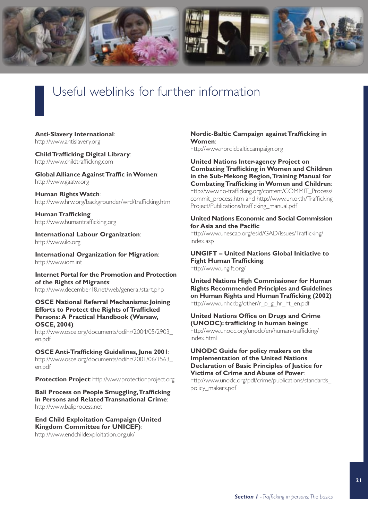

## Useful weblinks for further information

**Anti-Slavery International**: <http://www.antislavery.org>

**Child Trafficking Digital Library**: <http://www.childtrafficking.com>

**Global Alliance Against Traffic in Women**: <http://www.gaatw.org>

**Human Rights Watch**: <http://www.hrw.org/backgrounder/wrd/trafficking.htm>

**Human Trafficking**: <http://www.humantrafficking.org>

**International Labour Organization**: <http://www.ilo.org>

**International Organization for Migration**: <http://www.iom.int>

**Internet Portal for the Promotion and Protection of the Rights of Migrants**: <http://www.december18.net/web/general/start.php>

**OSCE National Referral Mechanisms: Joining Efforts to Protect the Rights of Trafficked Persons: A Practical Handbook (Warsaw, OSCE, 2004)**:

[http://www.osce.org/documents/odihr/2004/05/2903\\_](http://www.osce.org/documents/odihr/2004/05/2903_en.pdf) [en.pdf](http://www.osce.org/documents/odihr/2004/05/2903_en.pdf)

**OSCE Anti-Trafficking Guidelines, June 2001**: [http://www.osce.org/documents/odihr/2001/06/1563\\_](http://www.osce.org/documents/odihr/2001/06/1563_en.pdf) [en.pdf](http://www.osce.org/documents/odihr/2001/06/1563_en.pdf)

**Protection Project**: <http://www.protectionproject.org>

**Bali Process on People Smuggling, Trafficking in Persons and Related Transnational Crime**: <http://www.baliprocess.net>

**End Child Exploitation Campaign (United Kingdom Committee for UNICEF)**: <http://www.endchildexploitation.org.uk/>

#### **Nordic-Baltic Campaign against Trafficking in Women**:

<http://www.nordicbalticcampaign.org>

**United Nations Inter-agency Project on Combating Trafficking in Women and Children in the Sub-Mekong Region, Training Manual for Combating Trafficking in Women and Children**: [http://www.no-trafficking.org/content/COMMIT\\_Process/](http://www.no-trafficking.org/content/COMMIT_Process/commit_process.htm) commit\_process.htm and [http://www.un.or.th/Trafficking](http://www.un.or.th/TraffickingProject/Publications/trafficking_manual.pdf) Project/Publications/trafficking\_manual.pdf

#### **United Nations Economic and Social Commission for Asia and the Pacific**:

[http://www.unescap.org/esid/GAD/Issues/Trafficking/](http://www.unescap.org/esid/GAD/Issues/Trafficking/index.asp) index.asp

**UNGIFT – United Nations Global Initiative to Fight Human Trafficking**: <http://www.ungift.org/>

**United Nations High Commissioner for Human Rights Recommended Principles and Guidelines on Human Rights and Human Trafficking (2002)**: [http://www.unhcr.bg/other/r\\_p\\_g\\_hr\\_ht\\_en.pdf](http://www.unhcr.bg/other/r_p_g_hr_ht_en.pdf)

**United Nations Office on Drugs and Crime (UNODC): trafficking in human beings**: http://www.unodc.org/[unodc/en/human-trafficking/](http://www.unodc.org/unodc/en/human-trafficking/index.html) index.html

**UNODC Guide for policy makers on the Implementation of the United Nations Declaration of Basic Principles of Justice for Victims of Crime and Abuse of Power**:

[http://www.unodc.org/pdf/crime/publications/standards\\_](http://www.unodc.org/pdf/crime/publications/standards_policy_makers.pdf) policy\_makers.pdf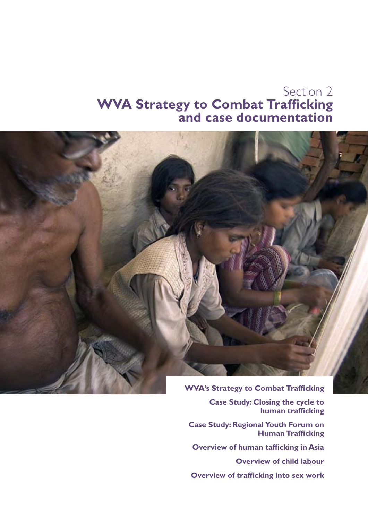### Section 2 **WVA Strategy to Combat Trafficking and case documentation**



**Case Study: Closing the cycle to human trafficking**

**Case Study: Regional Youth Forum on Human Trafficking**

**Overview of human tafficking in Asia**

**Overview of child labour**

**Overview of trafficking into sex work**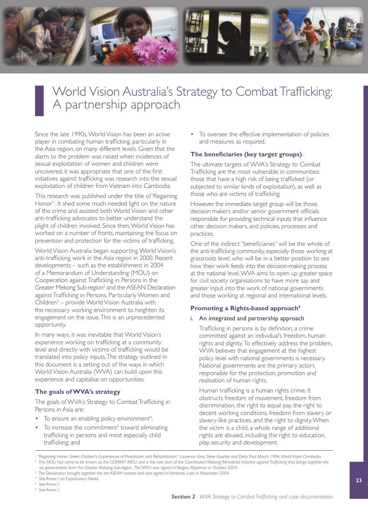

### World Vision Australia's Strategy to Combat Trafficking: A partnership approach

Since the late 1990s, World Vision has been an active player in combating human trafficking, particularly in the Asia region, on many different levels. Given that the alarm to the problem was raised when incidences of sexual exploitation of women and children were uncovered, it was appropriate that one of the first initiatives against trafficking was research into the sexual exploitation of children from Vietnam into Cambodia.

This research was published under the title of 'Regaining Honor'1 . It shed some much-needed light on the nature of the crime and assisted both World Vision and other anti-trafficking advocates to better understand the plight of children involved. Since then, World Vision has worked on a number of fronts, maintaining the focus on prevention and protection for the victims of trafficking.

World Vision Australia began supporting World Vision's anti-trafficking work in the Asia region in 2000. Recent developments – such as the establishment in 2004 of a Memorandum of Understanding (MOU) on Cooperation against Trafficking in Persons in the Greater Mekong Sub-region<sup>2</sup> and the ASEAN Declaration against Trafficking in Persons, Particularly Women and Children<sup>3</sup> – provide World Vision Australia with the necessary working environment to heighten its engagement on the issue. This is an unprecedented opportunity.

In many ways, it was inevitable that World Vision's experience working on trafficking at a community level and directly with victims of trafficking would be translated into policy inputs. The strategy outlined in this document is a setting out of the ways in which World Vision Australia (WVA) can build upon this experience and capitalise on opportunities.

#### **The goals of WVA's strategy**

The goals of WVA's Strategy to Combat Trafficking in Persons in Asia are:

- To ensure an enabling policy environment<sup>4</sup>;
- $\bullet$  To increase the commitment<sup>5</sup> toward eliminating trafficking in persons and most especially child trafficking; and

• To oversee the effective implementation of policies and measures as required.

#### **The beneficiaries (key target groups)**:

The ultimate targets of WVA's Strategy to Combat Trafficking are the most vulnerable in communities: those that have a high risk of being trafficked (or subjected to similar kinds of exploitation), as well as those who are victims of trafficking.

However, the immediate target group will be those decision makers and/or senior government officials responsible for providing technical inputs that influence other decision makers, and policies, processes and practices.

One of the indirect "beneficiaries" will be the whole of the anti-trafficking community, especially those working at grassroots level, who will be in a better position to see how their work feeds into the decision-making process at the national level. WVA aims to open up greater space for civil society organisations to have more say and greater input into the work of national governments and those working at regional and international levels.

#### **Promoting a Rights-based approach**<sup>6</sup>

#### i. An integrated and partnership approach

Trafficking in persons is, by definition, a crime committed against an individual's freedom, human rights and dignity. To effectively address the problem, WVA believes that engagement at the highest policy level with national governments is necessary. National governments are the primary actors responsible for the protection, promotion and realisation of human rights.

Human trafficking is a human rights crime. It obstructs freedom of movement, freedom from discrimination, the right to equal pay, the right to decent working conditions, freedom from slavery or slavery-like practices, and the right to dignity. When the victim is a child, a whole range of additional rights are abused, including the right to education, play, security and development.

*1 "Regaining Honor: Street Children's Experiences of Prostitution and Rehabilitation", Laurence Gray, Steve Gourley and Delia Paul March 1996. World Vision Cambodia.* <sup>2</sup> This MOU has come to be known as the COMMIT MOU and is the core part of the Coordinated Mekong Ministerial Initiative against Trafficking that brings together the *six governments from the Greater Mekong Sub-region. The MOU was signed in Yangon, Myanmar in October 2004.*

<sup>3</sup> The Declaration brought together the ten ASEAN nations and was signed in Vientiane, Laos in November 2004.

*4 See Annex I on Explanatory Notes.*

*<sup>5</sup> See Annex I.*

*<sup>6</sup> See Annex I.*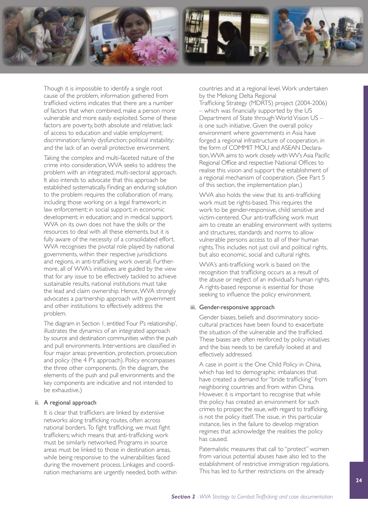

Though it is impossible to identify a single root cause of the problem, information gathered from trafficked victims indicates that there are a number of factors that when combined, make a person more vulnerable and more easily exploited. Some of these factors are poverty, both absolute and relative; lack of access to education and viable employment; discrimination; family dysfunction; political instability; and the lack of an overall protective environment.

Taking the complex and multi-faceted nature of the crime into consideration, WVA seeks to address the problem with an integrated, multi-sectoral approach. It also intends to advocate that this approach be established systematically. Finding an enduring solution to the problem requires the collaboration of many, including those working on a legal framework; in law enforcement; in social support; in economic development; in education; and in medical support. WVA on its own does not have the skills or the resources to deal with all these elements, but it is fully aware of the necessity of a consolidated effort. WVA recognises the pivotal role played by national governments, within their respective jurisdictions and regions, in anti-trafficking work overall. Furthermore, all of WVA's initiatives are guided by the view that for any issue to be effectively tackled to achieve sustainable results, national institutions must take the lead and claim ownership. Hence, WVA strongly advocates a partnership approach with government and other institutions to effectively address the problem.

The diagram in Section 1, entitled 'Four P's relationship', illustrates the dynamics of an integrated approach by source and destination communities within the push and pull environments. Interventions are classified in four major areas: prevention, protection, prosecution and policy (the 4 P's approach). Policy encompasses the three other components. (In the diagram, the elements of the push and pull environments and the key components are indicative and not intended to be exhaustive.)

#### ii. A regional approach

It is clear that traffickers are linked by extensive networks along trafficking routes, often across national borders. To fight trafficking, we must fight traffickers; which means that anti-trafficking work must be similarly networked. Programs in source areas must be linked to those in destination areas, while being responsive to the vulnerabilities faced during the movement process. Linkages and coordination mechanisms are urgently needed, both within

countries and at a regional level. Work undertaken by the Mekong Delta Regional

Trafficking Strategy (MDRTS) project (2004-2006) – which was financially supported by the US Department of State through World Vision US – is one such initiative. Given the overall policy environment where governments in Asia have forged a regional infrastructure of cooperation, in the form of COMMIT MOU and ASEAN Declaration, WVA aims to work closely with WV's Asia Pacific Regional Office and respective National Offices to realise this vision and support the establishment of a regional mechanism of cooperation. (See Part 5 of this section, the implementation plan.)

WVA also holds the view that its anti-trafficking work must be rights-based. This requires the work to be gender-responsive, child sensitive and victim-centered. Our anti-trafficking work must aim to create an enabling environment with systems and structures, standards and norms to allow vulnerable persons access to all of their human rights. This includes not just civil and political rights, but also economic, social and cultural rights.

WVA's anti-trafficking work is based on the recognition that trafficking occurs as a result of the abuse or neglect of an individual's human rights. A rights-based response is essential for those seeking to influence the policy environment.

#### iii. Gender-responsive approach

Gender biases, beliefs and discriminatory sociocultural practices have been found to exacerbate the situation of the vulnerable and the trafficked. These biases are often reinforced by policy initiatives and the bias needs to be carefully looked at and effectively addressed.

A case in point is the One Child Policy in China, which has led to demographic imbalances that have created a demand for "bride trafficking" from neighboring countries and from within China. However, it is important to recognise that while the policy has created an environment for such crimes to prosper, the issue, with regard to trafficking, is not the policy itself. The issue, in this particular instance, lies in the failure to develop migration regimes that acknowledge the realities the policy has caused.

Paternalistic measures that call to "protect" women from various potential abuses have also led to the establishment of restrictive immigration regulations. This has led to further restrictions on the already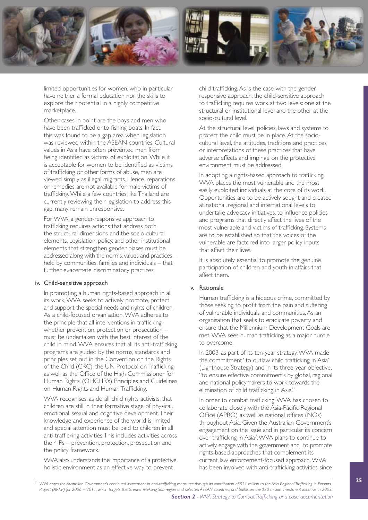

limited opportunities for women, who in particular have neither a formal education nor the skills to explore their potential in a highly competitive marketplace.

Other cases in point are the boys and men who have been trafficked onto fishing boats. In fact, this was found to be a gap area when legislation was reviewed within the ASEAN countries. Cultural values in Asia have often prevented men from being identified as victims of exploitation. While it is acceptable for women to be identified as victims of trafficking or other forms of abuse, men are viewed simply as illegal migrants. Hence, reparations or remedies are not available for male victims of trafficking. While a few countries like Thailand are currently reviewing their legislation to address this gap, many remain unresponsive.

For WVA, a gender-responsive approach to trafficking requires actions that address both the structural dimensions and the socio-cultural elements. Legislation, policy, and other institutional elements that strengthen gender biases must be addressed along with the norms, values and practices – held by communities, families and individuals – that further exacerbate discriminatory practices.

#### iv. Child-sensitive approach

In promoting a human rights-based approach in all its work, WVA seeks to actively promote, protect and support the special needs and rights of children. As a child-focused organisation, WVA adheres to the principle that all interventions in trafficking – whether prevention, protection or prosecution – must be undertaken with the best interest of the child in mind. WVA ensures that all its anti-trafficking programs are guided by the norms, standards and principles set out in the Convention on the Rights of the Child (CRC), the UN Protocol on Trafficking as well as the Office of the High Commissioner for Human Rights' (OHCHR's) Principles and Guidelines on Human Rights and Human Trafficking.

WVA recognises, as do all child rights activists, that children are still in their formative stage of physical, emotional, sexual and cognitive development. Their knowledge and experience of the world is limited and special attention must be paid to children in all anti-trafficking activities. This includes activities across the 4 Ps – prevention, protection, prosecution and the policy framework.

WVA also understands the importance of a protective, holistic environment as an effective way to prevent

child trafficking. As is the case with the genderresponsive approach, the child-sensitive approach to trafficking requires work at two levels: one at the structural or institutional level and the other at the socio-cultural level.

At the structural level, policies, laws and systems to protect the child must be in place. At the sociocultural level, the attitudes, traditions and practices or interpretations of these practices that have adverse effects and impinge on the protective environment must be addressed.

In adopting a rights-based approach to trafficking, WVA places the most vulnerable and the most easily exploited individuals at the core of its work. Opportunities are to be actively sought and created at national, regional and international levels to undertake advocacy initiatives, to influence policies and programs that directly affect the lives of the most vulnerable and victims of trafficking. Systems are to be established so that the voices of the vulnerable are factored into larger policy inputs that affect their lives.

It is absolutely essential to promote the genuine participation of children and youth in affairs that affect them.

#### v. Rationale

Human trafficking is a hideous crime, committed by those seeking to profit from the pain and suffering of vulnerable individuals and communities. As an organisation that seeks to eradicate poverty and ensure that the Millennium Development Goals are met, WVA sees human trafficking as a major hurdle to overcome.

In 2003, as part of its ten-year strategy, WVA made the commitment "to outlaw child trafficking in Asia" (Lighthouse Strategy) and in its three-year objective, "to ensure effective commitments by global, regional and national policymakers to work towards the elimination of child trafficking in Asia."

In order to combat trafficking, WVA has chosen to collaborate closely with the Asia-Pacific Regional Office (APRO) as well as national offices (NOs) throughout Asia. Given the Australian Government's engagement on the issue and in particular its concern over trafficking in Asia<sup>7</sup>, WVA plans to continue to actively engage with the government and to promote rights-based approaches that complement its current law enforcement-focused approach. WVA has been involved with anti-trafficking activities since

*<sup>7</sup> WVA notes the Australian Government's continued investment in anti-trafficking measures through its contribution of \$21 million to the Asia Regional Trafficking in Persons Project (ARTIP) for 2006 – 2011, which targets the Greater Mekong Sub-region and selected ASEAN countries, and builds on the \$20 million investment initiative in 2003.*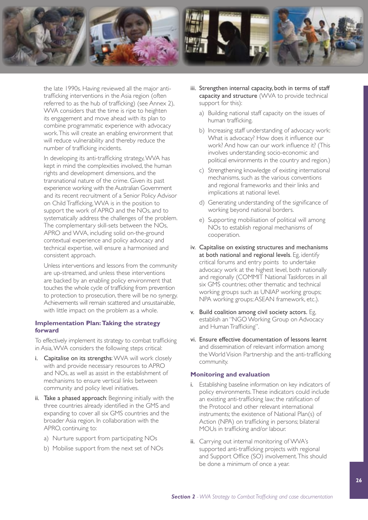

the late 1990s. Having reviewed all the major antitrafficking interventions in the Asia region (often referred to as the hub of trafficking) (see Annex 2), WVA considers that the time is ripe to heighten its engagement and move ahead with its plan to combine programmatic experience with advocacy work. This will create an enabling environment that will reduce vulnerability and thereby reduce the number of trafficking incidents.

In developing its anti-trafficking strategy, WVA has kept in mind the complexities involved, the human rights and development dimensions, and the transnational nature of the crime. Given its past experience working with the Australian Government and its recent recruitment of a Senior Policy Advisor on Child Trafficking, WVA is in the position to support the work of APRO and the NOs, and to systematically address the challenges of the problem. The complementary skill-sets between the NOs, APRO and WVA, including solid on-the-ground contextual experience and policy advocacy and technical expertise, will ensure a harmonised and consistent approach.

Unless interventions and lessons from the community are up-streamed, and unless these interventions are backed by an enabling policy environment that touches the whole cycle of trafficking from prevention to protection to prosecution, there will be no synergy. Achievements will remain scattered and unsustainable, with little impact on the problem as a whole.

#### **Implementation Plan: Taking the strategy forward**

To effectively implement its strategy to combat trafficking in Asia, WVA considers the following steps critical:

- i. Capitalise on its strengths: WVA will work closely with and provide necessary resources to APRO and NOs, as well as assist in the establishment of mechanisms to ensure vertical links between community and policy level initiatives.
- ii. Take a phased approach: Beginning initially with the three countries already identified in the GMS and expanding to cover all six GMS countries and the broader Asia region. In collaboration with the APRO, continuing to:
	- a) Nurture support from participating NOs
	- b) Mobilise support from the next set of NOs
- iii. Strengthen internal capacity, both in terms of staff capacity and structure (WVA to provide technical support for this):
	- a) Building national staff capacity on the issues of human trafficking.
	- b) Increasing staff understanding of advocacy work: What is advocacy? How does it influence our work? And how can our work influence it? (This involves understanding socio-economic and political environments in the country and region.)
	- c) Strengthening knowledge of existing international mechanisms, such as the various conventions and regional frameworks and their links and implications at national level.
	- d) Generating understanding of the significance of working beyond national borders.
	- e) Supporting mobilisation of political will among NOs to establish regional mechanisms of cooperation.
- iv. Capitalise on existing structures and mechanisms at both national and regional levels. Eg, identify critical forums and entry points to undertake advocacy work at the highest level, both nationally and regionally (COMMIT National Taskforces in all six GMS countries; other thematic and technical working groups such as UNIAP working groups; NPA working groups; ASEAN framework, etc.).
- v. Build coalition among civil society actors. Eg, establish an "NGO Working Group on Advocacy and Human Trafficking".
- vi. Ensure effective documentation of lessons learnt and dissemination of relevant information among the World Vision Partnership and the anti-trafficking community.

#### **Monitoring and evaluation**

- i. Establishing baseline information on key indicators of policy environments. These indicators could include an existing anti-trafficking law; the ratification of the Protocol and other relevant international instruments; the existence of National Plan(s) of Action (NPA) on trafficking in persons; bilateral MOUs in trafficking and/or labour.
- ii. Carrying out internal monitoring of WVA's supported anti-trafficking projects with regional and Support Office (SO) involvement. This should be done a minimum of once a year.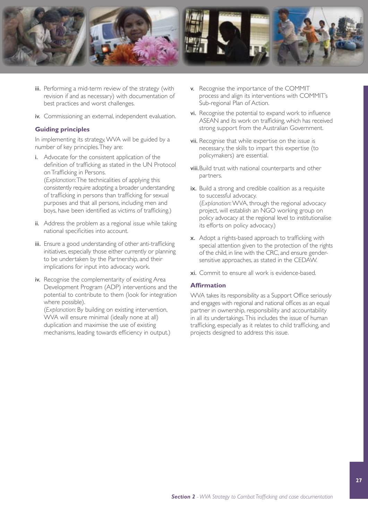

- iii. Performing a mid-term review of the strategy (with revision if and as necessary) with documentation of best practices and worst challenges.
- iv. Commissioning an external, independent evaluation.

#### **Guiding principles**

In implementing its strategy, WVA will be guided by a number of key principles. They are:

- i. Advocate for the consistent application of the definition of trafficking as stated in the UN Protocol on Trafficking in Persons. (*Explanation*: The technicalities of applying this consistently require adopting a broader understanding of trafficking in persons than trafficking for sexual purposes and that all persons, including men and boys, have been identified as victims of trafficking.)
- ii. Address the problem as a regional issue while taking national specificities into account.
- iii. Ensure a good understanding of other anti-trafficking initiatives, especially those either currently or planning to be undertaken by the Partnership, and their implications for input into advocacy work.
- iv. Recognise the complementarity of existing Area Development Program (ADP) interventions and the potential to contribute to them (look for integration where possible).

(*Explanation*: By building on existing intervention, WVA will ensure minimal (ideally none at all) duplication and maximise the use of existing mechanisms, leading towards efficiency in output.)

- v. Recognise the importance of the COMMIT process and align its interventions with COMMIT's Sub-regional Plan of Action.
- vi. Recognise the potential to expand work to influence ASEAN and its work on trafficking, which has received strong support from the Australian Government.
- vii. Recognise that while expertise on the issue is necessary, the skills to impart this expertise (to policymakers) are essential.
- viii.Build trust with national counterparts and other partners.
- ix. Build a strong and credible coalition as a requisite to successful advocacy. (*Explanation*: WVA, through the regional advocacy project, will establish an NGO working group on policy advocacy at the regional level to institutionalise its efforts on policy advocacy.)
- x. Adopt a rights-based approach to trafficking with special attention given to the protection of the rights of the child, in line with the CRC, and ensure gendersensitive approaches, as stated in the CEDAW.
- xi. Commit to ensure all work is evidence-based.

#### **Affirmation**

WVA takes its responsibility as a Support Office seriously and engages with regional and national offices as an equal partner in ownership, responsibility and accountability in all its undertakings. This includes the issue of human trafficking, especially as it relates to child trafficking, and projects designed to address this issue.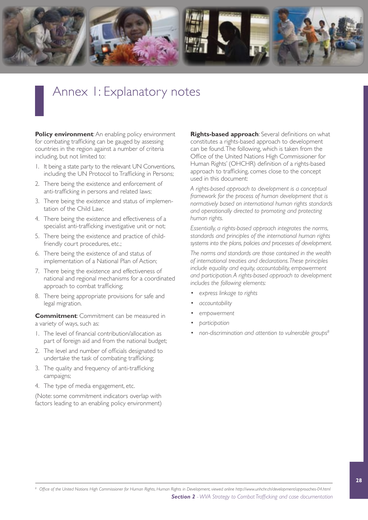

## Annex 1: Explanatory notes

**Policy environment:** An enabling policy environment for combating trafficking can be gauged by assessing countries in the region against a number of criteria including, but not limited to:

- 1. It being a state party to the relevant UN Conventions, including the UN Protocol to Trafficking in Persons;
- 2. There being the existence and enforcement of anti-trafficking in persons and related laws;
- 3. There being the existence and status of implementation of the Child Law;
- 4. There being the existence and effectiveness of a specialist anti-trafficking investigative unit or not;
- 5. There being the existence and practice of childfriendly court procedures, etc.;
- 6. There being the existence of and status of implementation of a National Plan of Action;
- 7. There being the existence and effectiveness of national and regional mechanisms for a coordinated approach to combat trafficking;
- 8. There being appropriate provisions for safe and legal migration.

**Commitment**: Commitment can be measured in a variety of ways, such as:

- 1. The level of financial contribution/allocation as part of foreign aid and from the national budget;
- 2. The level and number of officials designated to undertake the task of combating trafficking;
- 3. The quality and frequency of anti-trafficking campaigns;
- 4. The type of media engagement, etc.

(Note: some commitment indicators overlap with factors leading to an enabling policy environment) **Rights-based approach**: Several definitions on what constitutes a rights-based approach to development can be found. The following, which is taken from the Office of the United Nations High Commissioner for Human Rights' (OHCHR) definition of a rights-based approach to trafficking, comes close to the concept used in this document:

*A rights-based approach to development is a conceptual framework for the process of human development that is normatively based on international human rights standards and operationally directed to promoting and protecting human rights.*

*Essentially, a rights-based approach integrates the norms, standards and principles of the international human rights systems into the plans, policies and processes of development.* 

*The norms and standards are those contained in the wealth of international treaties and declarations. These principles include equality and equity, accountability, empowerment and participation. A rights-based approach to development includes the following elements:*

- *• express linkage to rights*
- *• accountability*
- *• empowerment*
- *• participation*
- *• non-discrimination and attention to vulnerable groups<sup>8</sup>*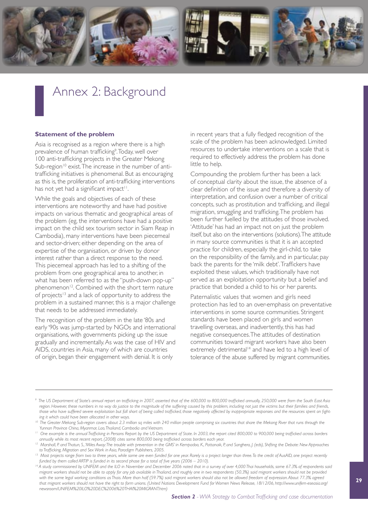

## Annex 2: Background

#### **Statement of the problem**

Asia is recognised as a region where there is a high prevalence of human trafficking<sup>9</sup>. Today, well over 100 anti-trafficking projects in the Greater Mekong Sub-region<sup>10</sup> exist. The increase in the number of antitrafficking initiatives is phenomenal. But as encouraging as this is, the proliferation of anti-trafficking interventions has not yet had a significant impact<sup>11</sup>.

While the goals and objectives of each of these interventions are noteworthy and have had positive impacts on various thematic and geographical areas of the problem (eg, the interventions have had a positive impact on the child sex tourism sector in Siam Reap in Cambodia), many interventions have been piecemeal and sector-driven; either depending on the area of expertise of the organisation, or driven by donor interest rather than a direct response to the need. This piecemeal approach has led to a shifting of the problem from one geographical area to another, in what has been referred to as the "push-down pop-up" phenomenon<sup>12</sup>. Combined with the short term nature of projects<sup>13</sup> and a lack of opportunity to address the problem in a sustained manner, this is a major challenge that needs to be addressed immediately.

The recognition of the problem in the late '80s and early '90s was jump-started by NGOs and international organisations, with governments picking up the issue gradually and incrementally. As was the case of HIV and AIDS, countries in Asia, many of which are countries of origin, began their engagement with denial. It is only

in recent years that a fully fledged recognition of the scale of the problem has been acknowledged. Limited resources to undertake interventions on a scale that is required to effectively address the problem has done little to help.

Compounding the problem further has been a lack of conceptual clarity about the issue, the absence of a clear definition of the issue and therefore a diversity of interpretation, and confusion over a number of critical concepts, such as prostitution and trafficking, and illegal migration, smuggling and trafficking. The problem has been further fuelled by the attitudes of those involved. 'Attitude' has had an impact not on just the problem itself, but also on the interventions (solutions). The attitude in many source communities is that it is an accepted practice for children, especially the girl-child, to take on the responsibility of the family, and in particular, pay back the parents for the 'milk debt'. Traffickers have exploited these values, which traditionally have not served as an exploitation opportunity but a belief and practice that bonded a child to his or her parents.

Paternalistic values that women and girls need protection has led to an over-emphasis on preventative interventions in some source communities. Stringent standards have been placed on girls and women travelling overseas, and inadvertently, this has had negative consequences. The attitudes of destination communities toward migrant workers have also been extremely detrimental<sup>14</sup> and have led to a high level of tolerance of the abuse suffered by migrant communities.

*<sup>9</sup> The US Department of State's annual report on trafficking in 2007, asserted that of the 600,000 to 800,000 trafficked annually, 250,000 were from the South East Asia*  region. However, these numbers in no way do justice to the magnitude of the suffering caused by this problem, including not just the victims but their families and friends, *those who have suffered severe exploitation but fall short of being called trafficked, those negatively affected by inappropriate responses and the resources spent on fighting it which could have been allocated in other ways.*

<sup>&</sup>lt;sup>10</sup> The Greater Mekong Sub-region covers about 2.3 million sq miles with 240 million people comprising six countries that share the Mekong River that runs through the *Yunnan Province China, Myanmar, Lao, Thailand, Cambodia and Vietnam.*

<sup>&</sup>lt;sup>11</sup> One example is the annual Trafficking in Persons Report by the US Department of State. In 2003, the report cited 800,000 to 900,000 being trafficked across borders

annually while its most recent report, (2008) cites some 800,000 being trafficked across borders each year.<br><sup>12</sup> Marshall, P. and Thatun, S., 'Miles Away:The trouble with prevention in the GMS' in Kempadoo, K., Pattanaik,

to Trafficking, Migration and Sex Work in Asia, Paradigm Publishers, 2005.<br><sup>13</sup> Most projects range from two to three years, while some are even funded for one year. Rarely is a project longer than three. To the credit of *funded by them called ARTIP is funded in its second phase for a total of five years (2006 – 2010).*

<sup>&</sup>lt;sup>14</sup> A study commissioned by UNIFEM and the ILO in November and December 2006 noted that in a survey of over 4,000 Thai households, some 67.3% of respondents said *migrant workers should not be able to apply for any job available in Thailand, and roughly one in two respondents (50.3%) said migrant workers should not be provided*  with the same legal working conditions as Thais. More than half (59.7%) said migrant workers should also not be allowed freedom of expression. About 77.3% agreed *that migrant workers should not have the right to form unions. (United Nations Development Fund for Women News Release, 18/12/06, [http://www.unifem-eseasia.org/](http://www.unifem-eseasia.org/newsroom/UNIFEM%20ILO%20DEC%2006%20THAI%20MIGRANT.htm) [newsroom/UNIFEM%20ILO%20DEC%2006%20THAI%20MIGRANT.htm\)](http://www.unifem-eseasia.org/newsroom/UNIFEM%20ILO%20DEC%2006%20THAI%20MIGRANT.htm)*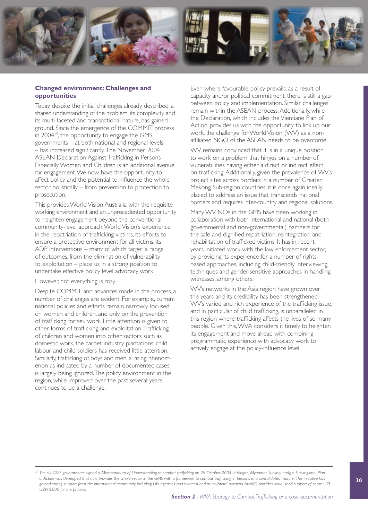

#### **Changed environment: Challenges and opportunities**

Today, despite the initial challenges already described, a shared understanding of the problem, its complexity and its multi-faceted and transnational nature, has gained ground. Since the emergence of the COMMIT process in 2004<sup>15</sup>, the opportunity to engage the GMS governments – at both national and regional levels – has increased significantly. The November 2004 ASEAN Declaration Against Trafficking in Persons Especially Women and Children is an additional avenue for engagement. We now have the opportunity to affect policy, and the potential to influence the whole sector holistically – from prevention to protection to prosecution.

This provides World Vision Australia with the requisite working environment and an unprecedented opportunity to heighten engagement beyond the conventional community-level approach. World Vision's experience in the repatriation of trafficking victims, its efforts to ensure a protective environment for all victims, its ADP interventions – many of which target a range of outcomes, from the elimination of vulnerability to exploitation – place us in a strong position to undertake effective policy level advocacy work.

However, not everything is rosy.

Despite COMMIT and advances made in the process, a number of challenges are evident. For example, current national policies and efforts remain narrowly focused on women and children, and only on the prevention of trafficking for sex work. Little attention is given to other forms of trafficking and exploitation. Trafficking of children and women into other sectors such as domestic work, the carpet industry, plantations, child labour and child soldiers has received little attention. Similarly, trafficking of boys and men, a rising phenomenon as indicated by a number of documented cases, is largely being ignored. The policy environment in the region, while improved over the past several years, continues to be a challenge.

Even where favourable policy prevails, as a result of capacity and/or political commitment, there is still a gap between policy and implementation. Similar challenges remain within the ASEAN process. Additionally, while the Declaration, which includes the Vientiane Plan of Action, provides us with the opportunity to link up our work, the challenge for World Vision (WV) as a nonaffiliated NGO of the ASEAN needs to be overcome.

WV remains convinced that it is in a unique position to work on a problem that hinges on a number of vulnerabilities having either a direct or indirect effect on trafficking. Additionally, given the prevalence of WV's project sites across borders in a number of Greater Mekong Sub-region countries, it is once again ideally placed to address an issue that transcends national borders and requires inter-country and regional solutions.

Many WV NOs in the GMS have been working in collaboration with both international and national (both governmental and non-governmental) partners for the safe and dignified repatriation, reintegration and rehabilitation of trafficked victims. It has in recent years initiated work with the law enforcement sector, by providing its experience for a number of rightsbased approaches, including child-friendly interviewing techniques and gender-sensitive approaches in handling witnesses, among others.

WV's networks in the Asia region have grown over the years and its credibility has been strengthened. WV's varied and rich experience of the trafficking issue, and in particular of child trafficking, is unparalleled in this region where trafficking affects the lives of so many people. Given this, WVA considers it timely to heighten its engagement and move ahead with combining programmatic experience with advocacy work to actively engage at the policy-influence level.

<sup>&</sup>lt;sup>15</sup> The six GMS governments signed a Memorandum of Understanding to combat trafficking on 29 October 2004 in Yangon, Myanmar. Subsequently, a Sub-regional Plan *of Action was developed that now provides the whole sector in the GMS with a framework to combat trafficking in persons in a consolidated manner. This initiative has gained strong support from the international community including UN agencies and bilateral and multi-lateral partners. AusAID provided initial seed support of some US\$ US\$45,000 for the process.*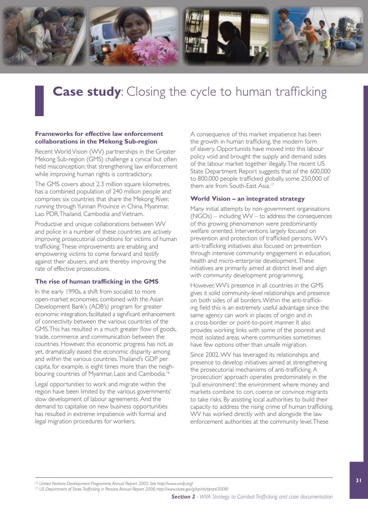

# **Case study:** Closing the cycle to human trafficking

#### **Frameworks for effective law enforcement collaborations in the Mekong Sub-region**

Recent World Vision (WV) partnerships in the Greater Mekong Sub-region (GMS) challenge a cynical but often held misconception: that strengthening law enforcement while improving human rights is contradictory.

The GMS covers about 2.3 million square kilometres, has a combined population of 240 million people and comprises six countries that share the Mekong River, running through Yunnan Province in China, Myanmar, Lao PDR, Thailand, Cambodia and Vietnam.

Productive and unique collaborations between WV and police in a number of these countries are actively improving prosecutorial conditions for victims of human trafficking. These improvements are enabling and empowering victims to come forward and testify against their abusers, and are thereby improving the rate of effective prosecutions.

#### **The rise of human trafficking in the GMS**

In the early 1990s, a shift from socialist to more open-market economies, combined with the Asian Development Bank's (ADB's) program for greater economic integration, facilitated a significant enhancement of connectivity between the various countries of the GMS.This has resulted in a much greater flow of goods, trade, commerce and communication between the countries. However, this economic progress has not, as yet, dramatically eased the economic disparity among and within the various countries. Thailand's GDP per capita, for example, is eight times more than the neighbouring countries of Myanmar, Laos and Cambodia.<sup>16</sup>

Legal opportunities to work and migrate within the region have been limited by the various governments' slow development of labour agreements. And the demand to capitalise on new business opportunities has resulted in extreme impatience with formal and legal migration procedures for workers.

A consequence of this market impatience has been the growth in human trafficking, the modern form of slavery. Opportunists have moved into this labour policy void and brought the supply and demand sides of the labour market together illegally. The recent US State Department Report suggests that of the 600,000 to 800,000 people trafficked globally, some 250,000 of them are from South-East Asia.<sup>17</sup>

#### **World Vision – an integrated strategy**

Many initial attempts by non-government organisations (NGOs) – including WV – to address the consequences of this growing phenomenon were predominantly welfare oriented. Interventions largely focused on prevention and protection of trafficked persons. WV's anti-trafficking initiatives also focused on prevention through intensive community engagement in education, health and micro-enterprise development. These initiatives are primarily aimed at district level and align with community development programming.

However, WV's presence in all countries in the GMS gives it solid community-level relationships and presence on both sides of all borders. Within the anti-trafficking field this is an extremely useful advantage since the same agency can work in places of origin and in a cross-border or point-to-point manner. It also provides working links with some of the poorest and most isolated areas where communities sometimes have few options other than unsafe migration.

Since 2002, WV has leveraged its relationships and presence to develop initiatives aimed at strengthening the prosecutorial mechanisms of anti-trafficking. A 'prosecution' approach operates predominately in the 'pull environment'; the environment where money and markets combine to con, coerce or convince migrants to take risks. By assisting local authorities to build their capacity to address the rising crime of human trafficking, WV has worked directly with and alongside the law enforcement authorities at the community level. These

<sup>&</sup>lt;sup>16</sup> United Nations Development Programme, Annual Report, 2005. See <http://www.undp.org/>

*<sup>17</sup> US Department of State, Trafficking in Persons Annual Report 2008,<http://www.state.gov/g/tip/rls/tiprpt/2008/>*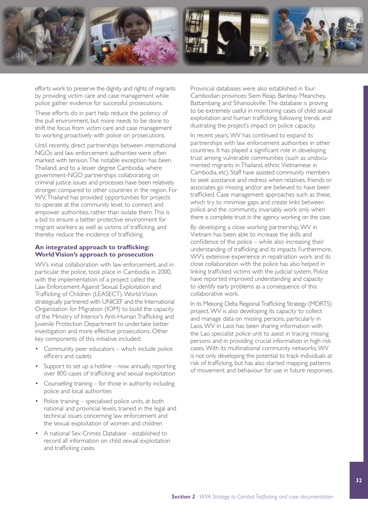

efforts work to preserve the dignity and rights of migrants by providing victim care and case management while police gather evidence for successful prosecutions.

These efforts do in part help reduce the potency of the pull environment, but more needs to be done to shift the focus from victim care and case management to working proactively with police on prosecutions.

Until recently, direct partnerships between international NGOs and law enforcement authorities were often marked with tension. The notable exception has been Thailand, and to a lesser degree Cambodia, where government-NGO partnerships collaborating on criminal justice issues and processes have been relatively stronger, compared to other countries in the region. For WV, Thailand has provided opportunities for projects to operate at the community level, to connect and empower authorities, rather than isolate them. This is a bid to ensure a better protective environment for migrant workers as well as victims of trafficking, and thereby reduce the incidence of trafficking.

#### **An integrated approach to trafficking: World Vision's approach to prosecution**

WV's initial collaboration with law enforcement, and in particular the police, took place in Cambodia in 2000, with the implementation of a project called the Law Enforcement Against Sexual Exploitation and Trafficking of Children (LEASECT). World Vision strategically partnered with UNICEF and the International Organization for Migration (IOM) to build the capacity of the Ministry of Interior's Anti-Human Trafficking and Juvenile Protection Department to undertake better investigation and more effective prosecutions. Other key components of this initiative included:

- Community peer educators which include police officers and cadets
- Support to set up a hotline  $-$  now annually reporting over 800 cases of trafficking and sexual exploitation
- Counselling training for those in authority including police and local authorities
- Police training  $-$  specialised police units, at both national and provincial levels, trained in the legal and technical issues concerning law enforcement and the sexual exploitation of women and children
- • A national Sex Crimes Database established to record all information on child sexual exploitation and trafficking cases.

Provincial databases were also established in four Cambodian provinces: Siem Reap, Banteay Meanchey, Battambang and Sihanoukville. The database is proving to be extremely useful in monitoring cases of child sexual exploitation and human trafficking, following trends and illustrating the project's impact on police capacity.

In recent years, WV has continued to expand its partnerships with law enforcement authorities in other countries. It has played a significant role in developing trust among vulnerable communities (such as undocumented migrants in Thailand, ethnic Vietnamese in Cambodia, etc). Staff have assisted community members to seek assistance and redress when relatives, friends or associates go missing and/or are believed to have been trafficked. Case management approaches such as these, which try to minimise gaps and create links between police and the community, invariably work only when there is complete trust in the agency working on the case.

By developing a close working partnership, WV in Vietnam has been able to increase the skills and confidence of the police – while also increasing their understanding of trafficking and its impacts. Furthermore, WV's extensive experience in repatriation work and its close collaboration with the police has also helped in linking trafficked victims with the judicial system. Police have reported improved understanding and capacity to identify early problems as a consequence of this collaborative work.

In its Mekong Delta Regional Trafficking Strategy (MDRTS) project, WV is also developing its capacity to collect and manage data on missing persons, particularly in Laos. WV in Laos has been sharing information with the Lao specialist police unit to assist in tracing missing persons and in providing crucial information in high risk cases. With its multinational community networks, WV is not only developing the potential to track individuals at risk of trafficking, but has also started mapping patterns of movement and behaviour for use in future responses.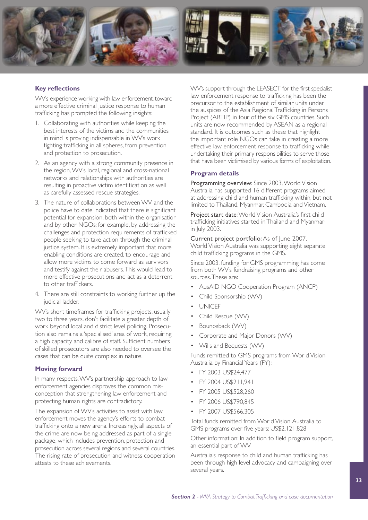

#### **Key reflections**

WV's experience working with law enforcement, toward a more effective criminal justice response to human trafficking has prompted the following insights:

- 1. Collaborating with authorities while keeping the best interests of the victims and the communities in mind is proving indispensable in WV's work fighting trafficking in all spheres, from prevention and protection to prosecution.
- 2. As an agency with a strong community presence in the region, WV's local, regional and cross-national networks and relationships with authorities are resulting in proactive victim identification as well as carefully assessed rescue strategies.
- 3. The nature of collaborations between WV and the police have to date indicated that there is significant potential for expansion, both within the organisation and by other NGOs; for example, by addressing the challenges and protection requirements of trafficked people seeking to take action through the criminal justice system. It is extremely important that more enabling conditions are created, to encourage and allow more victims to come forward as survivors and testify against their abusers. This would lead to more effective prosecutions and act as a deterrent to other traffickers.
- 4. There are still constraints to working further up the judicial ladder.

WV's short timeframes for trafficking projects, usually two to three years, don't facilitate a greater depth of work beyond local and district level policing. Prosecution also remains a 'specialised' area of work, requiring a high capacity and calibre of staff. Sufficient numbers of skilled prosecutors are also needed to oversee the cases that can be quite complex in nature.

#### **Moving forward**

In many respects, WV's partnership approach to law enforcement agencies disproves the common misconception that strengthening law enforcement and protecting human rights are contradictory.

The expansion of WV's activities to assist with law enforcement moves the agency's efforts to combat trafficking onto a new arena. Increasingly, all aspects of the crime are now being addressed as part of a single package, which includes prevention, protection and prosecution across several regions and several countries. The rising rate of prosecution and witness cooperation attests to these achievements.

WV's support through the LEASECT for the first specialist law enforcement response to trafficking has been the precursor to the establishment of similar units under the auspices of the Asia Regional Trafficking in Persons Project (ARTIP) in four of the six GMS countries. Such units are now recommended by ASEAN as a regional standard. It is outcomes such as these that highlight the important role NGOs can take in creating a more effective law enforcement response to trafficking while undertaking their primary responsibilities to serve those that have been victimised by various forms of exploitation.

#### **Program details**

Programming overview: Since 2003, World Vision Australia has supported 16 different programs aimed at addressing child and human trafficking within, but not limited to Thailand, Myanmar, Cambodia and Vietnam.

Project start date: World Vision Australia's first child trafficking initiatives started in Thailand and Myanmar in July 2003.

Current project portfolio: As of June 2007, World Vision Australia was supporting eight separate child trafficking programs in the GMS.

Since 2003, funding for GMS programming has come from both WV's fundraising programs and other sources. These are:

- • AusAID NGO Cooperation Program (ANCP)
- Child Sponsorship (WV)
- • UNICEF
- Child Rescue (WV)
- Bounceback (WV)
- Corporate and Major Donors (WV)
- Wills and Bequests (WV)

Funds remitted to GMS programs from World Vision Australia by Financial Years (FY):

- FY 2003 US\$24,477
- FY 2004 US\$211,941
- FY 2005 US\$528,260
- FY 2006 US\$790,845
- FY 2007 US\$566,305

Total funds remitted from World Vision Australia to GMS programs over five years: US\$2,121,828

Other information: In addition to field program support, an essential part of WV

Australia's response to child and human trafficking has been through high level advocacy and campaigning over several years.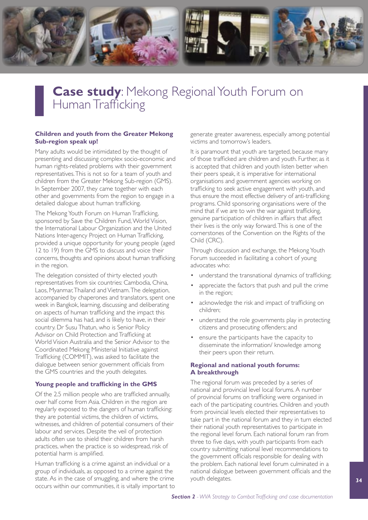

### **Case study:** Mekong Regional Youth Forum on Human Trafficking

#### **Children and youth from the Greater Mekong Sub-region speak up!**

Many adults would be intimidated by the thought of presenting and discussing complex socio-economic and human rights-related problems with their government representatives. This is not so for a team of youth and children from the Greater Mekong Sub-region (GMS). In September 2007, they came together with each other and governments from the region to engage in a detailed dialogue about human trafficking.

The Mekong Youth Forum on Human Trafficking, sponsored by Save the Children Fund, World Vision, the International Labour Organization and the United Nations Inter-agency Project on Human Trafficking, provided a unique opportunity for young people (aged 12 to 19) from the GMS to discuss and voice their concerns, thoughts and opinions about human trafficking in the region.

The delegation consisted of thirty elected youth representatives from six countries: Cambodia, China, Laos, Myanmar, Thailand and Vietnam. The delegation, accompanied by chaperones and translators, spent one week in Bangkok, learning, discussing and deliberating on aspects of human trafficking and the impact this social dilemma has had, and is likely to have, in their country. Dr Susu Thatun, who is Senior Policy Advisor on Child Protection and Trafficking at World Vision Australia and the Senior Advisor to the Coordinated Mekong Ministerial Initiative against Trafficking (COMMIT), was asked to facilitate the dialogue between senior government officials from the GMS countries and the youth delegates.

#### **Young people and trafficking in the GMS**

Of the 2.5 million people who are trafficked annually, over half come from Asia. Children in the region are regularly exposed to the dangers of human trafficking: they are potential victims, the children of victims, witnesses, and children of potential consumers of their labour and services. Despite the veil of protection adults often use to shield their children from harsh practices, when the practice is so widespread, risk of potential harm is amplified.

Human trafficking is a crime against an individual or a group of individuals, as opposed to a crime against the state. As in the case of smuggling, and where the crime occurs within our communities, it is vitally important to generate greater awareness, especially among potential victims and tomorrow's leaders.

It is paramount that youth are targeted, because many of those trafficked are children and youth. Further, as it is accepted that children and youth listen better when their peers speak, it is imperative for international organisations and government agencies working on trafficking to seek active engagement with youth, and thus ensure the most effective delivery of anti-trafficking programs. Child sponsoring organisations were of the mind that if we are to win the war against trafficking, genuine participation of children in affairs that affect their lives is the only way forward. This is one of the cornerstones of the Convention on the Rights of the Child (CRC).

Through discussion and exchange, the Mekong Youth Forum succeeded in facilitating a cohort of young advocates who:

- understand the transnational dynamics of trafficking;
- appreciate the factors that push and pull the crime in the region;
- acknowledge the risk and impact of trafficking on children;
- understand the role governments play in protecting citizens and prosecuting offenders; and
- ensure the participants have the capacity to disseminate the information/ knowledge among their peers upon their return.

#### **Regional and national youth forums: A breakthrough**

The regional forum was preceded by a series of national and provincial level local forums. A number of provincial forums on trafficking were organised in each of the participating countries. Children and youth from provincial levels elected their representatives to take part in the national forum and they in turn elected their national youth representatives to participate in the regional level forum. Each national forum ran from three to five days, with youth participants from each country submitting national level recommendations to the government officials responsible for dealing with the problem. Each national level forum culminated in a national dialogue between government officials and the youth delegates.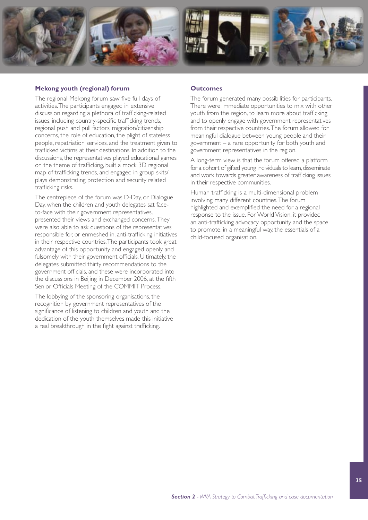

#### **Mekong youth (regional) forum**

The regional Mekong forum saw five full days of activities. The participants engaged in extensive discussion regarding a plethora of trafficking-related issues, including country-specific trafficking trends, regional push and pull factors, migration/citizenship concerns, the role of education, the plight of stateless people, repatriation services, and the treatment given to trafficked victims at their destinations. In addition to the discussions, the representatives played educational games on the theme of trafficking, built a mock 3D regional map of trafficking trends, and engaged in group skits/ plays demonstrating protection and security related trafficking risks.

The centrepiece of the forum was D-Day, or Dialogue Day, when the children and youth delegates sat faceto-face with their government representatives, presented their views and exchanged concerns. They were also able to ask questions of the representatives responsible for, or enmeshed in, anti-trafficking initiatives in their respective countries. The participants took great advantage of this opportunity and engaged openly and fulsomely with their government officials. Ultimately, the delegates submitted thirty recommendations to the government officials, and these were incorporated into the discussions in Beijing in December 2006, at the fifth Senior Officials Meeting of the COMMIT Process.

The lobbying of the sponsoring organisations, the recognition by government representatives of the significance of listening to children and youth and the dedication of the youth themselves made this initiative a real breakthrough in the fight against trafficking.

#### **Outcomes**

The forum generated many possibilities for participants. There were immediate opportunities to mix with other youth from the region, to learn more about trafficking and to openly engage with government representatives from their respective countries. The forum allowed for meaningful dialogue between young people and their government – a rare opportunity for both youth and government representatives in the region.

A long-term view is that the forum offered a platform for a cohort of gifted young individuals to learn, disseminate and work towards greater awareness of trafficking issues in their respective communities.

Human trafficking is a multi-dimensional problem involving many different countries. The forum highlighted and exemplified the need for a regional response to the issue. For World Vision, it provided an anti-trafficking advocacy opportunity and the space to promote, in a meaningful way, the essentials of a child-focused organisation.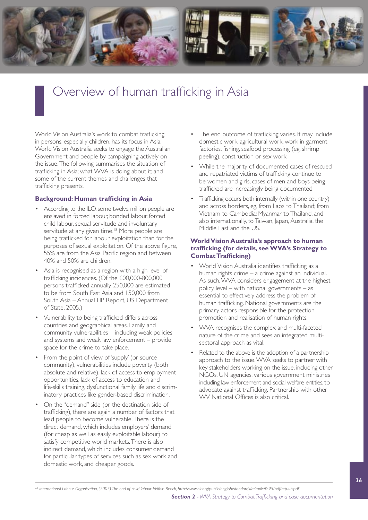

## Overview of human trafficking in Asia

World Vision Australia's work to combat trafficking in persons, especially children, has its focus in Asia. World Vision Australia seeks to engage the Australian Government and people by campaigning actively on the issue. The following summarises the situation of trafficking in Asia; what WVA is doing about it; and some of the current themes and challenges that trafficking presents.

#### **Background: Human trafficking in Asia**

- According to the ILO, some twelve million people are enslaved in forced labour, bonded labour, forced child labour, sexual servitude and involuntary servitude at any given time.<sup>18</sup> More people are being trafficked for labour exploitation than for the purposes of sexual exploitation. Of the above figure, 55% are from the Asia Pacific region and between 40% and 50% are children.
- Asia is recognised as a region with a high level of trafficking incidences. (Of the 600,000-800,000 persons trafficked annually, 250,000 are estimated to be from South East Asia and 150,000 from South Asia – AnnualTIP Report, US Department of State, 2005.)
- • Vulnerability to being trafficked differs across countries and geographical areas. Family and community vulnerabilities – including weak policies and systems and weak law enforcement – provide space for the crime to take place.
- From the point of view of 'supply' (or source community), vulnerabilities include poverty (both absolute and relative), lack of access to employment opportunities, lack of access to education and life-skills training, dysfunctional family life and discriminatory practices like gender-based discrimination.
- On the "demand" side (or the destination side of trafficking), there are again a number of factors that lead people to become vulnerable. There is the direct demand, which includes employers' demand (for cheap as well as easily exploitable labour) to satisfy competitive world markets. There is also indirect demand, which includes consumer demand for particular types of services such as sex work and domestic work, and cheaper goods.
- The end outcome of trafficking varies. It may include domestic work, agricultural work, work in garment factories, fishing, seafood processing (eg, shrimp peeling), construction or sex work.
- While the majority of documented cases of rescued and repatriated victims of trafficking continue to be women and girls, cases of men and boys being trafficked are increasingly being documented.
- Trafficking occurs both internally (within one country) and across borders, eg, from Laos to Thailand; from Vietnam to Cambodia; Myanmar to Thailand, and also internationally, to Taiwan, Japan, Australia, the Middle East and the US.

#### **World Vision Australia's approach to human trafficking (for details, see WVA's Strategy to Combat Trafficking)**

- World Vision Australia identifies trafficking as a human rights crime – a crime against an individual. As such, WVA considers engagement at the highest policy level – with national governments – as essential to effectively address the problem of human trafficking. National governments are the primary actors responsible for the protection, promotion and realisation of human rights.
- WVA recognises the complex and multi-faceted nature of the crime and sees an integrated multisectoral approach as vital.
- Related to the above is the adoption of a partnership approach to the issue. WVA seeks to partner with key stakeholders working on the issue, including other NGOs, UN agencies, various government ministries including law enforcement and social welfare entities, to advocate against trafficking. Partnership with other WV National Offices is also critical.

*<sup>18</sup> International Labour Organisation, (2005) The end of child labour: Within Reach[, http://www.oit.org/public/english/standards/relm/ilc/ilc95/pdf/rep-i-b.pdf](http://www.oit.org/public/english/standards/relm/ilc/ilc95/pdf/rep-i-b.pdf)*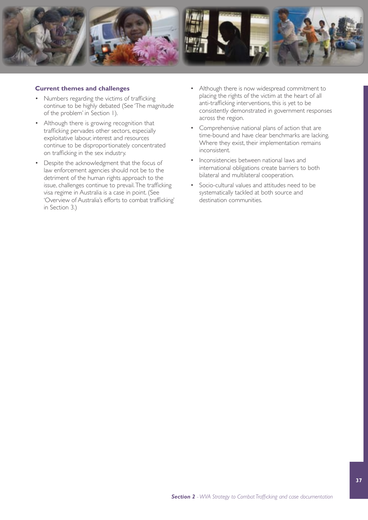

#### **Current themes and challenges**

- Numbers regarding the victims of trafficking continue to be highly debated (See 'The magnitude of the problem' in Section 1).
- • Although there is growing recognition that trafficking pervades other sectors, especially exploitative labour, interest and resources continue to be disproportionately concentrated on trafficking in the sex industry.
- Despite the acknowledgment that the focus of law enforcement agencies should not be to the detriment of the human rights approach to the issue, challenges continue to prevail. The trafficking visa regime in Australia is a case in point. (See 'Overview of Australia's efforts to combat trafficking' in Section 3.)
- Although there is now widespread commitment to placing the rights of the victim at the heart of all anti-trafficking interventions, this is yet to be consistently demonstrated in government responses across the region.
- Comprehensive national plans of action that are time-bound and have clear benchmarks are lacking. Where they exist, their implementation remains inconsistent.
- Inconsistencies between national laws and international obligations create barriers to both bilateral and multilateral cooperation.
- • Socio-cultural values and attitudes need to be systematically tackled at both source and destination communities.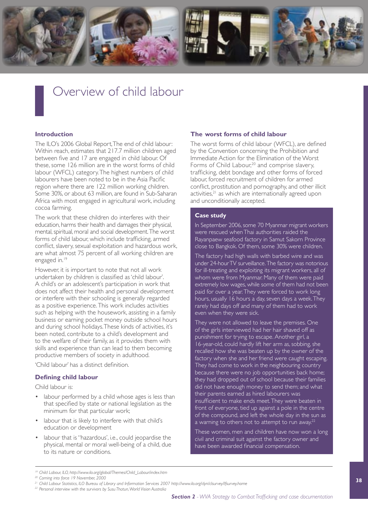

### Overview of child labour

#### **Introduction**

The ILO's 2006 Global Report, The end of child labour: Within reach, estimates that 217.7 million children aged between five and 17 are engaged in child labour. Of these, some 126 million are in the worst forms of child labour (WFCL) category. The highest numbers of child labourers have been noted to be in the Asia Pacific region where there are 122 million working children. Some 30%, or about 63 million, are found in Sub-Saharan Africa with most engaged in agricultural work, including cocoa farming.

The work that these children do interferes with their education, harms their health and damages their physical, mental, spiritual, moral and social development. The worst forms of child labour, which include trafficking, armed conflict, slavery, sexual exploitation and hazardous work, are what almost 75 percent of all working children are engaged in.<sup>19</sup>

However, it is important to note that not all work undertaken by children is classified as 'child labour'. A child's or an adolescent's participation in work that does not affect their health and personal development or interfere with their schooling is generally regarded as a positive experience. This work includes activities such as helping with the housework, assisting in a family business or earning pocket money outside school hours and during school holidays. These kinds of activities, it's been noted, contribute to a child's development and to the welfare of their family, as it provides them with skills and experience than can lead to them becoming productive members of society in adulthood.

'Child labour' has a distinct definition.

#### **Defining child labour**

Child labour is:

- labour performed by a child whose ages is less than that specified by state or national legislation as the minimum for that particular work;
- • labour that is likely to interfere with that child's education or development
- labour that is "hazardous', i.e., could jeopardise the physical, mental or moral well-being of a child, due to its nature or conditions.

#### **The worst forms of child labour**

The worst forms of child labour (WFCL), are defined by the Convention concerning the Prohibition and Immediate Action for the Elimination of the Worst Forms of Child Labour,<sup>20</sup> and comprise slavery, trafficking, debt bondage and other forms of forced labour, forced recruitment of children for armed conflict, prostitution and pornography, and other illicit activities,<sup>21</sup> as which are internationally agreed upon and unconditionally accepted.

#### **Case study**

In September 2006, some 70 Myanmar migrant workers were rescued when Thai authorities raided the Rayanpaew seafood factory in Samut Sakorn Province close to Bangkok. Of them, some 30% were children.

The factory had high walls with barbed wire and was under 24-hour TV surveillance. The factory was notorious for ill-treating and exploiting its migrant workers, all of whom were from Myanmar. Many of them were paid extremely low wages, while some of them had not been paid for over a year. They were forced to work long hours, usually 16 hours a day, seven days a week. They rarely had days off and many of them had to work even when they were sick.

They were not allowed to leave the premises. One of the girls interviewed had her hair shaved off as punishment for trying to escape. Another girl, a 16-year-old, could hardly lift her arm as, sobbing, she recalled how she was beaten up by the owner of the factory when she and her friend were caught escaping. They had come to work in the neighbouring country because there were no job opportunities back home; they had dropped out of school because their families did not have enough money to send them; and what their parents earned as hired labourers was insufficient to make ends meet. They were beaten in front of everyone, tied up against a pole in the centre of the compound, and left the whole day in the sun as a warning to others not to attempt to run away. $^{22}$ 

These women, men and children have now won a long civil and criminal suit against the factory owner and have been awarded financial compensation.

*<sup>19</sup> Child Labour, ILO, [http://www.ilo.org/global/Themes/Child\\_Labour/index.htm](http://www.ilo.org/global/Themes/Child_Labour/index.htm)*

*<sup>20</sup> Coming into force 19 November, 2000*

*<sup>21</sup> Child Labour Statistics, ILO Bureau of Library and Information Services 2007<http://www.ilo.org/dyn/clsurvey/lfsurvey.home>*

*<sup>22</sup> Personal interview with the survivors by Susu Thatun, World Vision Australia*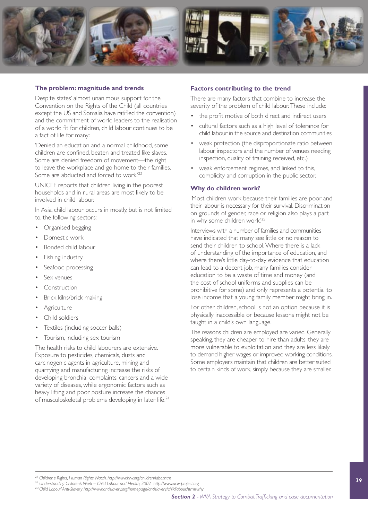

#### **The problem: magnitude and trends**

Despite states' almost unanimous support for the Convention on the Rights of the Child (all countries except the US and Somalia have ratified the convention) and the commitment of world leaders to the realisation of a world fit for children, child labour continues to be a fact of life for many:

'Denied an education and a normal childhood, some children are confined, beaten and treated like slaves. Some are denied freedom of movement—the right to leave the workplace and go home to their families. Some are abducted and forced to work.<sup>'23</sup>

UNICEF reports that children living in the poorest households and in rural areas are most likely to be involved in child labour.

In Asia, child labour occurs in mostly, but is not limited to, the following sectors:

- Organised begging
- Domestic work
- • Bonded child labour
- **Fishing industry**
- Seafood processing
- Sex venues
- Construction
- Brick kilns/brick making
- • Agriculture
- Child soldiers
- Textiles (including soccer balls)
- • Tourism, including sex tourism

The health risks to child labourers are extensive. Exposure to pesticides, chemicals, dusts and carcinogenic agents in agriculture, mining and quarrying and manufacturing increase the risks of developing bronchial complaints, cancers and a wide variety of diseases, while ergonomic factors such as heavy lifting and poor posture increase the chances of musculoskeletal problems developing in later life.<sup>24</sup>

#### **Factors contributing to the trend**

There are many factors that combine to increase the severity of the problem of child labour. These include:

- the profit motive of both direct and indirect users
- cultural factors such as a high level of tolerance for child labour in the source and destination communities
- weak protection (the disproportionate ratio between labour inspectors and the number of venues needing inspection, quality of training received, etc.)
- weak enforcement regimes, and linked to this, complicity and corruption in the public sector.

#### **Why do children work?**

'Most children work because their families are poor and their labour is necessary for their survival. Discrimination on grounds of gender, race or religion also plays a part in why some children work.'25

Interviews with a number of families and communities have indicated that many see little or no reason to send their children to school. Where there is a lack of understanding of the importance of education, and where there's little day-to-day evidence that education can lead to a decent job, many families consider education to be a waste of time and money (and the cost of school uniforms and supplies can be prohibitive for some) and only represents a potential to lose income that a young family member might bring in.

For other children, school is not an option because it is physically inaccessible or because lessons might not be taught in a child's own language.

The reasons children are employed are varied. Generally speaking, they are cheaper to hire than adults, they are more vulnerable to exploitation and they are less likely to demand higher wages or improved working conditions. Some employers maintain that children are better suited to certain kinds of work, simply because they are smaller.

*<sup>23</sup> Children's Rights, Human Rights Watch,<http://www.hrw.org/children/labor.htm>*

<sup>&</sup>lt;sup>25</sup>' Child Labour<sup>'</sup>Anti-Slavery http://www.antislavery.org/homepage/antislavery/childlabour.htm#why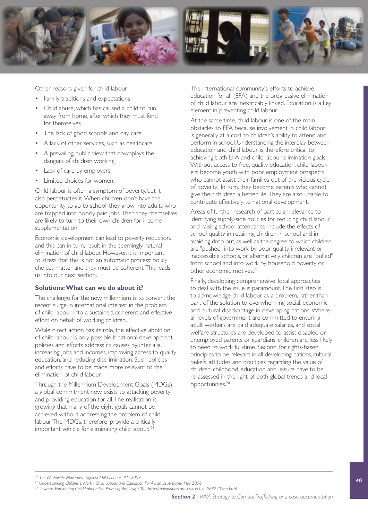

Other reasons given for child labour:

- • Family traditions and expectations
- Child abuse, which has caused a child to run away from home, after which they must fend for themselves
- The lack of good schools and day care
- A lack of other services, such as healthcare
- • A prevailing public view that downplays the dangers of children working
- Lack of care by employers
- Limited choices for women.

Child labour is often a symptom of poverty, but it also perpetuates it. When children don't have the opportunity to go to school, they grow into adults who are trapped into poorly paid jobs. Then they themselves are likely to turn to their own children for income supplementation.

Economic development can lead to poverty reduction, and this can in turn, result in the seemingly natural elimination of child labour. However, it is important to stress that this is not an automatic process: policy choices matter and they must be coherent. This leads us into our next section.

#### **Solutions: What can we do about it?**

The challenge for the new millennium is to convert the recent surge in international interest in the problem of child labour into a sustained, coherent and effective effort on behalf of working children.

While direct action has its role, the effective abolition of child labour is only possible if national development policies and efforts address its causes by, inter alia, increasing jobs and incomes, improving access to quality education, and reducing discrimination. Such policies and efforts have to be made more relevant to the elimination of child labour.

Through the Millennium Development Goals (MDGs), a global commitment now exists to attacking poverty and providing education for all. The realisation is growing that many of the eight goals cannot be achieved without addressing the problem of child labour. The MDGs, therefore, provide a critically important vehicle for eliminating child labour.<sup>26</sup>

The international community's efforts to achieve education for all (EFA) and the progressive elimination of child labour are inextricably linked. Education is a key element in preventing child labour.

At the same time, child labour is one of the main obstacles to EFA because involvement in child labour is generally at a cost to children's ability to attend and perform in school. Understanding the interplay between education and child labour is therefore critical to achieving both EFA and child labour elimination goals. Without access to free, quality education, child labourers become youth with poor employment prospects who cannot assist their families out of the vicious cycle of poverty. In turn, they become parents who cannot give their children a better life. They are also unable to contribute effectively to national development.

Areas of further research of particular relevance to identifying supply-side policies for reducing child labour and raising school attendance include the effects of school quality in retaining children in school and in avoiding drop out, as well as the degree to which children are "pushed" into work by poor quality, irrelevant or inaccessible schools, or, alternatively, children are "pulled" from school and into work by household poverty or other economic motives.27

Finally, developing comprehensive, local approaches to deal with the issue is paramount. The first step is to acknowledge child labour as a problem, rather than part of the solution to overwhelming social, economic and cultural disadvantage in developing nations. Where all levels of government are committed to ensuring adult workers are paid adequate salaries, and social welfare structures are developed to assist disabled or unemployed parents or guardians, children are less likely to need to work full-time. Second, for rights-based principles to be relevant in all developing nations, cultural beliefs, attitudes and practices regarding the value of children, childhood, education and leisure have to be re-assessed in the light of both global trends and local opportunities.28

*<sup>26</sup> The Worldwide Movement Against Child Labour, ILO 2007*

*<sup>27</sup> Understanding Children's Work - Child Labour and Education For All: an issue paper, Nov 2006*

*<sup>28</sup> Towards Eliminating Child Labour: The Power of the Law, 2002<http://motspluriels.arts.uwa.edu.au/MP2202acl.html>*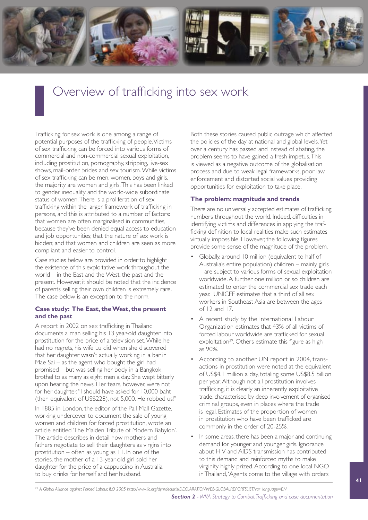

## Overview of trafficking into sex work

Trafficking for sex work is one among a range of potential purposes of the trafficking of people. Victims of sex trafficking can be forced into various forms of commercial and non-commercial sexual exploitation, including prostitution, pornography, stripping, live-sex shows, mail-order brides and sex tourism. While victims of sex trafficking can be men, women, boys and girls, the majority are women and girls. This has been linked to gender inequality and the world-wide subordinate status of women. There is a proliferation of sex trafficking within the larger framework of trafficking in persons, and this is attributed to a number of factors: that women are often marginalised in communities, because they've been denied equal access to education and job opportunities; that the nature of sex work is hidden; and that women and children are seen as more compliant and easier to control.

Case studies below are provided in order to highlight the existence of this exploitative work throughout the world – in the East and the West, the past and the present. However, it should be noted that the incidence of parents selling their own children is extremely rare. The case below is an exception to the norm.

#### **Case study: The East, the West, the present and the past**

A report in 2002 on sex trafficking in Thailand documents a man selling his 13 year-old daughter into prostitution for the price of a television set. While he had no regrets, his wife Lu did when she discovered that her daughter wasn't actually working in a bar in Mae Sai – as the agent who bought the girl had promised – but was selling her body in a Bangkok brothel to as many as eight men a day. She wept bitterly upon hearing the news. Her tears, however, were not for her daughter. "I should have asked for 10,000 baht (then equivalent of US\$228), not 5,000. He robbed us!"

In 1885 in London, the editor of the Pall Mall Gazette, working undercover to document the sale of young women and children for forced prostitution, wrote an article entitled 'The Maiden Tribute of Modern Babylon'. The article describes in detail how mothers and fathers negotiate to sell their daughters as virgins into prostitution – often as young as 11. In one of the stories, the mother of a 13-year-old girl sold her daughter for the price of a cappuccino in Australia to buy drinks for herself and her husband.

Both these stories caused public outrage which affected the policies of the day at national and global levels. Yet over a century has passed and instead of abating, the problem seems to have gained a fresh impetus. This is viewed as a negative outcome of the globalisation process and due to weak legal frameworks, poor law enforcement and distorted social values providing opportunities for exploitation to take place.

#### **The problem: magnitude and trends**

There are no universally accepted estimates of trafficking numbers throughout the world. Indeed, difficulties in identifying victims and differences in applying the trafficking definition to local realities make such estimates virtually impossible. However, the following figures provide some sense of the magnitude of the problem.

- Globally, around 10 million (equivalent to half of Australia's entire population) children – mainly girls – are subject to various forms of sexual exploitation worldwide. A further one million or so children are estimated to enter the commercial sex trade each year. UNICEF estimates that a third of all sex workers in Southeast Asia are between the ages of 12 and 17.
- A recent study by the International Labour Organization estimates that 43% of all victims of forced labour worldwide are trafficked for sexual exploitation<sup>29</sup>. Others estimate this figure as high as 90%.
- According to another UN report in 2004, transactions in prostitution were noted at the equivalent of US\$4.1 million a day, totaling some US\$8.5 billion per year. Although not all prostitution involves trafficking, it is clearly an inherently exploitative trade, characterised by deep involvement of organised criminal groups, even in places where the trade is legal. Estimates of the proportion of women in prostitution who have been trafficked are commonly in the order of 20-25%.
- In some areas, there has been a major and continuing demand for younger and younger girls. Ignorance about HIV and AIDS transmission has contributed to this demand and reinforced myths to make virginity highly prized. According to one local NGO in Thailand, 'Agents come to the village with orders

*<sup>29</sup> A Global Alliance against Forced Labour, ILO 2005 [http://www.ilo.org/dyn/declaris/DECLARATIONWEB.GLOBALREPORTSLIST?var\\_language=EN](http://www.ilo.org/dyn/declaris/DECLARATIONWEB.GLOBALREPORTSLIST?var_language=EN)*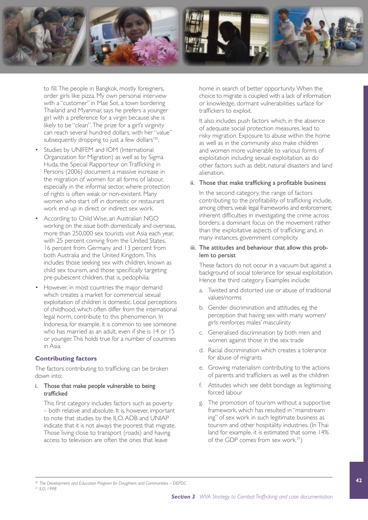

to fill. The people in Bangkok, mostly foreigners, order girls like pizza. My own personal interview with a "customer" in Mae Sot, a town bordering Thailand and Myanmar, says he prefers a younger girl with a preference for a virgin because she is likely to be "clean". The prize for a girl's virginity can reach several hundred dollars, with her "value" subsequently dropping to just a few dollars'<sup>30</sup>.

- Studies by UNIFEM and IOM (International Organization for Migration) as well as by Sigma Huda, the Special Rapporteur on Trafficking in Persons (2006) document a massive increase in the migration of women for all forms of labour, especially in the informal sector, where protection of rights is often weak or non-existent. Many women who start off in domestic or restaurant work end up in direct or indirect sex work.
- According to Child Wise, an Australian NGO working on the issue both domestically and overseas, more than 250,000 sex tourists visit Asia each year, with 25 percent coming from the United States. 16 percent from Germany and 13 percent from both Australia and the United Kingdom. This includes those seeking sex with children, known as child sex tourism, and those specifically targeting pre-pubescent children, that is, pedophilia.
- However, in most countries the major demand which creates a market for commercial sexual exploitation of children is domestic. Local perceptions of childhood, which often differ from the international legal norm, contribute to this phenomenon. In Indonesia, for example, it is common to see someone who has married as an adult, even if she is 14 or 15 or younger. This holds true for a number of countries in Asia.

#### **Contributing factors**

The factors contributing to trafficking can be broken down into:

#### i. Those that make people vulnerable to being trafficked

This first category includes factors such as poverty – both relative and absolute. It is, however, important to note that studies by the ILO, ADB and UNIAP indicate that it is not always the poorest that migrate. Those living close to transport (roads) and having access to television are often the ones that leave

home in search of better opportunity. When the choice to migrate is coupled with a lack of information or knowledge, dormant vulnerabilities surface for traffickers to exploit.

It also includes push factors which, in the absence of adequate social protection measures, lead to risky migration. Exposure to abuse within the home as well as in the community also make children and women more vulnerable to various forms of exploitation including sexual exploitation, as do other factors such as debt, natural disasters and land alienation.

#### ii. Those that make trafficking a profitable business

In the second category, the range of factors contributing to the profitability of trafficking include, among others, weak legal frameworks and enforcement; inherent difficulties in investigating the crime across borders; a dominant focus on the movement rather than the exploitative aspects of trafficking; and, in many instances, government complicity.

#### iii. The attitudes and behaviour that allow this problem to persist

These factors do not occur in a vacuum but against a background of social tolerance for sexual exploitation. Hence the third category. Examples include:

- a. Twisted and distorted use or abuse of traditional values/norms
- b. Gender discrimination and attitudes, eg the perception that having sex with many women/ girls reinforces males' masculinity
- c. Generalised discrimination by both men and women against those in the sex trade
- d. Racial discrimination which creates a tolerance for abuse of migrants
- e. Growing materialism contributing to the actions of parents and traffickers as well as the children
- f. Attitudes which see debt bondage as legitimising forced labour
- g. The promotion of tourism without a supportive framework, which has resulted in "mainstream ing" of sex work in such legitimate business as tourism and other hospitality industries. (In Thai land for example, it is estimated that some 14% of the GDP comes from sex work.<sup>31</sup>)

*<sup>30</sup> The Development and Education Program for Daughters and Communities – DEPDC*

*<sup>31</sup> ILO, 1998*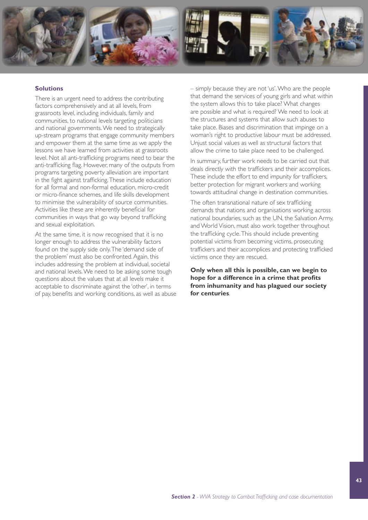

#### **Solutions**

There is an urgent need to address the contributing factors comprehensively and at all levels, from grassroots level, including individuals, family and communities, to national levels targeting politicians and national governments. We need to strategically up-stream programs that engage community members and empower them at the same time as we apply the lessons we have learned from activities at grassroots level. Not all anti-trafficking programs need to bear the anti-trafficking flag. However, many of the outputs from programs targeting poverty alleviation are important in the fight against trafficking. These include education for all formal and non-formal education, micro-credit or micro-finance schemes, and life skills development to minimise the vulnerability of source communities. Activities like these are inherently beneficial for communities in ways that go way beyond trafficking and sexual exploitation.

At the same time, it is now recognised that it is no longer enough to address the vulnerability factors found on the supply side only. The 'demand side of the problem' must also be confronted. Again, this includes addressing the problem at individual, societal and national levels. We need to be asking some tough questions about the values that at all levels make it acceptable to discriminate against the 'other', in terms of pay, benefits and working conditions, as well as abuse – simply because they are not 'us'.Who are the people that demand the services of young girls and what within the system allows this to take place? What changes are possible and what is required? We need to look at the structures and systems that allow such abuses to take place. Biases and discrimination that impinge on a woman's right to productive labour must be addressed. Unjust social values as well as structural factors that allow the crime to take place need to be challenged.

In summary, further work needs to be carried out that deals directly with the traffickers and their accomplices. These include the effort to end impunity for traffickers, better protection for migrant workers and working towards attitudinal change in destination communities.

The often transnational nature of sex trafficking demands that nations and organisations working across national boundaries, such as the UN, the Salvation Army, and World Vision, must also work together throughout the trafficking cycle. This should include preventing potential victims from becoming victims, prosecuting traffickers and their accomplices and protecting trafficked victims once they are rescued.

**Only when all this is possible, can we begin to hope for a difference in a crime that profits from inhumanity and has plagued our society for centuries**.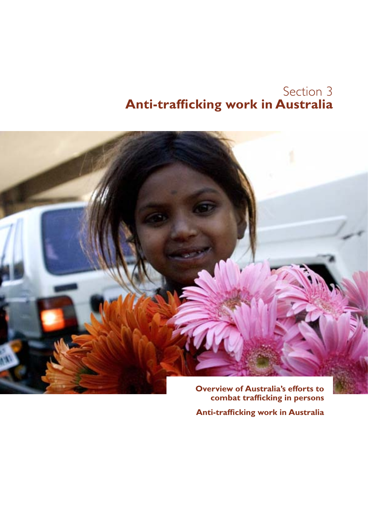### Section 3 **Anti-trafficking work in Australia**



**combat trafficking in persons**

**Anti-trafficking work in Australia**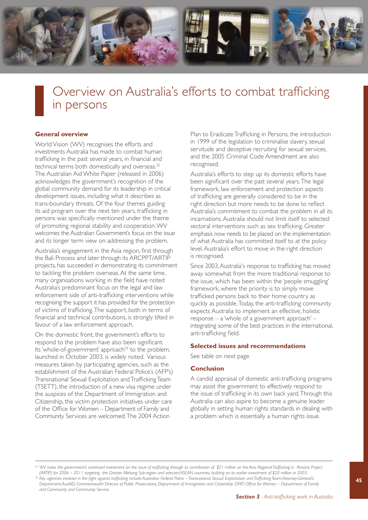

### Overview on Australia's efforts to combat trafficking in persons

#### **General overview**

World Vision (WV) recognises the efforts and investments Australia has made to combat human trafficking in the past several years, in financial and technical terms both domestically and overseas.<sup>32</sup> The Australian Aid White Paper (released in 2006) acknowledges the government's recognition of the global community demand for its leadership in critical development issues, including what it describes as trans-boundary threats. Of the four themes guiding its aid program over the next ten years, trafficking in persons was specifically mentioned under the theme of promoting regional stability and cooperation. WV welcomes the Australian Government's focus on the issue and its longer term view on addressing the problem.

Australia's engagement in the Asia region, first through the Bali Process and later through its ARCPPT/ARTIP projects, has succeeded in demonstrating its commitment to tackling the problem overseas. At the same time, many organisations working in the field have noted Australia's predominant focus on the legal and law enforcement side of anti-trafficking interventions while recognising the support it has provided for the protection of victims of trafficking. The support, both in terms of financial and technical contributions, is strongly tilted in favour of a law enforcement approach.

On the domestic front, the government's efforts to respond to the problem have also been significant. Its 'whole-of-government' approach<sup>33</sup> to the problem, launched in October 2003, is widely noted. Various measures taken by participating agencies, such as the establishment of the Australian Federal Police's (AFP's) Transnational Sexual Exploitation and Trafficking Team (TSETT), the introduction of a new visa regime under the auspices of the Department of Immigration and Citizenship, the victim protection initiatives under care of the Office for Women – Department of Family and Community Services are welcomed. The 2004 Action

Plan to Eradicate Trafficking in Persons, the introduction in 1999 of the legislation to criminalise slavery, sexual servitude and deceptive recruiting for sexual services, and the 2005 Criminal Code Amendment are also recognised.

Australia's efforts to step up its domestic efforts have been significant over the past several years. The legal framework, law enforcement and protection aspects of trafficking are generally considered to be in the right direction but more needs to be done to reflect Australia's commitment to combat the problem in all its incarnations. Australia should not limit itself to selected sectoral interventions such as sex trafficking. Greater emphasis now needs to be placed on the implementation of what Australia has committed itself to at the policy level. Australia's effort to move in the right direction is recognised.

Since 2003, Australia's response to trafficking has moved away somewhat from the more traditional response to the issue, which has been within the 'people smuggling' framework, where the priority is to simply move trafficked persons back to their home country as quickly as possible. Today, the anti-trafficking community expects Australia to implement an effective, holistic response – a 'whole of a government approach' – integrating some of the best practices in the international, anti-trafficking field.

#### **Selected issues and recommendations**

See table on next page

#### **Conclusion**

A candid appraisal of domestic anti-trafficking programs may assist the government to effectively respond to the issue of trafficking in its own back yard. Through this Australia can also aspire to become a genuine leader globally in setting human rights standards in dealing with a problem which is essentially a human rights issue.

<sup>&</sup>lt;sup>32</sup> WV notes the government's continued investment on the issue of trafficking through its contribution of \$21 million on the Asia Regional Trafficking in Persons Project *(ARTIP) for 2006 – 2011 targeting the Greater Mekong Sub-region and selected ASEAN countries, building on its earlier investment of \$20 million in 2003.*

*<sup>33</sup> Key agencies involved in the fight against trafficking include: Australian Federal Police – Transnational Sexual Exploitation and Trafficking Team; Attorney-General's Department; AusAID; Commonwealth Director of Public Prosecutions; Department of Immigration and Citizenship; DFAT; Office for Women – Department of Family and Community and Community Service.*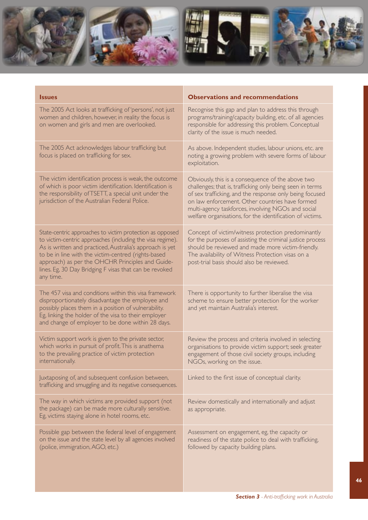

| <b>Issues</b>                                                                                                                                                                                                                                                                                                                                                       | <b>Observations and recommendations</b>                                                                                                                                                                                                                                                                                                         |
|---------------------------------------------------------------------------------------------------------------------------------------------------------------------------------------------------------------------------------------------------------------------------------------------------------------------------------------------------------------------|-------------------------------------------------------------------------------------------------------------------------------------------------------------------------------------------------------------------------------------------------------------------------------------------------------------------------------------------------|
| The 2005 Act looks at trafficking of 'persons', not just<br>women and children, however, in reality the focus is<br>on women and girls and men are overlooked.                                                                                                                                                                                                      | Recognise this gap and plan to address this through<br>programs/training/capacity building, etc. of all agencies<br>responsible for addressing this problem. Conceptual<br>clarity of the issue is much needed.                                                                                                                                 |
| The 2005 Act acknowledges labour trafficking but<br>focus is placed on trafficking for sex.                                                                                                                                                                                                                                                                         | As above. Independent studies, labour unions, etc. are<br>noting a growing problem with severe forms of labour<br>exploitation.                                                                                                                                                                                                                 |
| The victim identification process is weak, the outcome<br>of which is poor victim identification. Identification is<br>the responsibility of TSETT, a special unit under the<br>jurisdiction of the Australian Federal Police.                                                                                                                                      | Obviously, this is a consequence of the above two<br>challenges; that is, trafficking only being seen in terms<br>of sex trafficking, and the response only being focused<br>on law enforcement. Other countries have formed<br>multi-agency taskforces, involving NGOs and social<br>welfare organisations, for the identification of victims. |
| State-centric approaches to victim protection as opposed<br>to victim-centric approaches (including the visa regime).<br>As is written and practiced, Australia's approach is yet<br>to be in line with the victim-centred (rights-based<br>approach) as per the OHCHR Principles and Guide-<br>lines. Eg, 30 Day Bridging F visas that can be revoked<br>any time. | Concept of victim/witness protection predominantly<br>for the purposes of assisting the criminal justice process<br>should be reviewed and made more victim-friendly.<br>The availability of Witness Protection visas on a<br>post-trial basis should also be reviewed.                                                                         |
| The 457 visa and conditions within this visa framework<br>disproportionately disadvantage the employee and<br>possibly places them in a position of vulnerability.<br>Eg, linking the holder of the visa to their employer<br>and change of employer to be done within 28 days.                                                                                     | There is opportunity to further liberalise the visa<br>scheme to ensure better protection for the worker<br>and yet maintain Australia's interest.                                                                                                                                                                                              |
| Victim support work is given to the private sector,<br>which works in pursuit of profit. This is anathema<br>to the prevailing practice of victim protection<br>internationally.                                                                                                                                                                                    | Review the process and criteria involved in selecting<br>organisations to provide victim support; seek greater<br>engagement of those civil society groups, including<br>NGOs, working on the issue.                                                                                                                                            |
| Juxtaposing of, and subsequent confusion between,<br>trafficking and smuggling and its negative consequences.                                                                                                                                                                                                                                                       | Linked to the first issue of conceptual clarity.                                                                                                                                                                                                                                                                                                |
| The way in which victims are provided support (not<br>the package) can be made more culturally sensitive.<br>Eg, victims staying alone in hotel rooms, etc.                                                                                                                                                                                                         | Review domestically and internationally and adjust<br>as appropriate.                                                                                                                                                                                                                                                                           |
| Possible gap between the federal level of engagement<br>on the issue and the state level by all agencies involved<br>(police, immigration, AGO, etc.)                                                                                                                                                                                                               | Assessment on engagement, eg, the capacity or<br>readiness of the state police to deal with trafficking,<br>followed by capacity building plans.                                                                                                                                                                                                |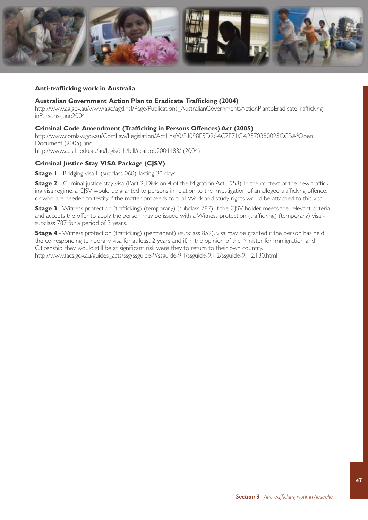

#### **Anti-trafficking work in Australia**

#### **Australian Government Action Plan to Eradicate Trafficking (2004)**

[http://www.ag.gov.au/www/agd/agd.nsf/Page/Publications\\_AustralianGovernmentsActionPlantoEradicateTrafficking](http://www.ag.gov.au/www/agd/agd.nsf/Page/Publications_AustralianGovernmentsActionPlantoEradicateTraffickinginPersons-June2004) inPersons-June2004

#### **Criminal Code Amendment (Trafficking in Persons Offences) Act (2005)**

[http://www.comlaw.gov.au/ComLaw/Legislation/Act1.nsf/0/F4098E5D96AC7E71CA2570380025CCBA?Open](http://www.comlaw.gov.au/ComLaw/Legislation/Act1.nsf/0/F4098E5D96AC7E71CA2570380025CCBA?OpenDocument) Document (2005) and [http://www.austlii.edu.au/au/legis/cth/bill/ccaipob2004483/](http://www.austlii.edu.au/au/legis/cth/bill/ccaipob2004483/(2004)) (2004)

#### **Criminal Justice Stay VISA Package (CJSV)**.

**Stage I** - Bridging visa F (subclass 060), lasting 30 days

**Stage 2** - Criminal justice stay visa (Part 2, Division 4 of the Migration Act 1958). In the context of the new trafficking visa regime, a CJSV would be granted to persons in relation to the investigation of an alleged trafficking offence, or who are needed to testify if the matter proceeds to trial. Work and study rights would be attached to this visa.

**Stage 3** - Witness protection (trafficking) (temporary) (subclass 787). If the CJSV holder meets the relevant criteria and accepts the offer to apply, the person may be issued with a Witness protection (trafficking) (temporary) visa subclass 787 for a period of 3 years.

**Stage 4** - Witness protection (trafficking) (permanent) (subclass 852), visa may be granted if the person has held the corresponding temporary visa for at least 2 years and if, in the opinion of the Minister for Immigration and Citizenship, they would still be at significant risk were they to return to their own country. [http://www.facs.gov.au/guides\\_acts/ssg/ssguide-9/ssguide-9.1/ssguide-9.1.2/ssguide-9.1.2.130.html](http://www.facs.gov.au/guides_acts/ssg/ssguide-9/ssguide-9.1/ssguide-9.1.2/ssguide-9.1.2.130.html)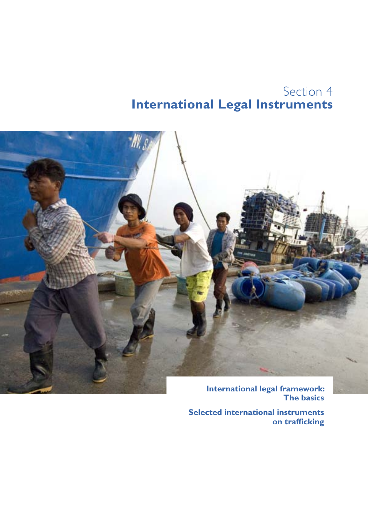### Section 4 **International Legal Instruments**



**The basics**

**Selected international instruments on trafficking**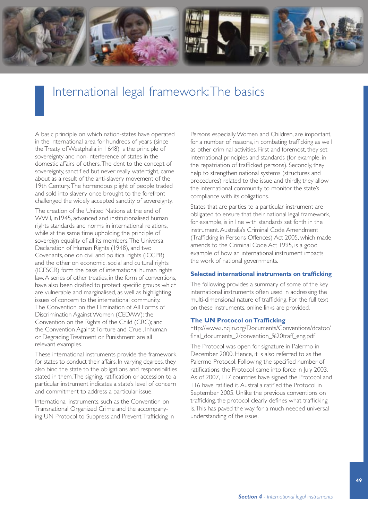

### International legal framework: The basics

A basic principle on which nation-states have operated in the international area for hundreds of years (since the Treaty of Westphalia in 1648) is the principle of sovereignty and non-interference of states in the domestic affairs of others. The dent to the concept of sovereignty, sanctified but never really watertight, came about as a result of the anti-slavery movement of the 19th Century. The horrendous plight of people traded and sold into slavery once brought to the forefront challenged the widely accepted sanctity of sovereignty.

The creation of the United Nations at the end of WWII, in1945, advanced and institutionalised human rights standards and norms in international relations, while at the same time upholding the principle of sovereign equality of all its members. The Universal Declaration of Human Rights (1948), and two Covenants, one on civil and political rights (ICCPR) and the other on economic, social and cultural rights (ICESCR) form the basis of international human rights law. A series of other treaties, in the form of conventions, have also been drafted to protect specific groups which are vulnerable and marginalised, as well as highlighting issues of concern to the international community. The Convention on the Elimination of All Forms of Discrimination Against Women (CEDAW); the Convention on the Rights of the Child (CRC); and the Convention Against Torture and Cruel, Inhuman or Degrading Treatment or Punishment are all relevant examples.

These international instruments provide the framework for states to conduct their affairs. In varying degrees, they also bind the state to the obligations and responsibilities stated in them. The signing, ratification or accession to a particular instrument indicates a state's level of concern and commitment to address a particular issue.

International instruments, such as the Convention on Transnational Organized Crime and the accompanying UN Protocol to Suppress and Prevent Trafficking in Persons especially Women and Children, are important, for a number of reasons, in combating trafficking as well as other criminal activities. First and foremost, they set international principles and standards (for example, in the repatriation of trafficked persons). Secondly, they help to strengthen national systems (structures and procedures) related to the issue and thirdly, they allow the international community to monitor the state's compliance with its obligations.

States that are parties to a particular instrument are obligated to ensure that their national legal framework, for example, is in line with standards set forth in the instrument. Australia's Criminal Code Amendment (Trafficking in Persons Offences) Act 2005, which made amends to the Criminal Code Act 1995, is a good example of how an international instrument impacts the work of national governments.

#### **Selected international instruments on trafficking**

The following provides a summary of some of the key international instruments often used in addressing the multi-dimensional nature of trafficking. For the full text on these instruments, online links are provided.

#### **The UN Protocol on Trafficking**

[http://www.uncjin.org/Documents/Conventions/dcatoc/](http://www.uncjin.org/Documents/Conventions/dcatoc/final_documents_2/convention_%20traff_eng.pdf) final\_documents\_2/convention\_%20traff\_eng.pdf

The Protocol was open for signature in Palermo in December 2000. Hence, it is also referred to as the Palermo Protocol. Following the specified number of ratifications, the Protocol came into force in July 2003. As of 2007, 117 countries have signed the Protocol and 116 have ratified it. Australia ratified the Protocol in September 2005. Unlike the previous conventions on trafficking, the protocol clearly defines what trafficking is. This has paved the way for a much-needed universal understanding of the issue.